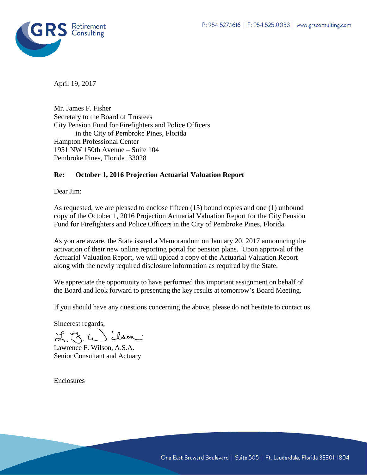

April 19, 2017

Mr. James F. Fisher Secretary to the Board of Trustees City Pension Fund for Firefighters and Police Officers in the City of Pembroke Pines, Florida Hampton Professional Center 1951 NW 150th Avenue – Suite 104 Pembroke Pines, Florida 33028

#### **Re: October 1, 2016 Projection Actuarial Valuation Report**

Dear Jim:

As requested, we are pleased to enclose fifteen (15) bound copies and one (1) unbound copy of the October 1, 2016 Projection Actuarial Valuation Report for the City Pension Fund for Firefighters and Police Officers in the City of Pembroke Pines, Florida.

As you are aware, the State issued a Memorandum on January 20, 2017 announcing the activation of their new online reporting portal for pension plans. Upon approval of the Actuarial Valuation Report, we will upload a copy of the Actuarial Valuation Report along with the newly required disclosure information as required by the State.

We appreciate the opportunity to have performed this important assignment on behalf of the Board and look forward to presenting the key results at tomorrow's Board Meeting.

If you should have any questions concerning the above, please do not hesitate to contact us.

Sincerest regards,

 $L_{\infty}$   $L_{\infty}$  ilsen

Lawrence F. Wilson, A.S.A. Senior Consultant and Actuary

**Enclosures**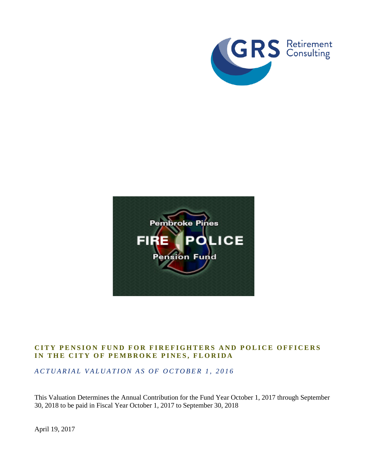



## **CITY PENSION FUND FOR FIREFIGHTER S AND POLICE OFFICER S** IN THE CITY OF PEMBROKE PINES, FLORIDA

*ACTUARIAL VALUATION AS OF OCTOBER 1, 20 1 6*

This Valuation Determines the Annual Contribution for the Fund Year October 1, 2017 through September 30, 2018 to be paid in Fiscal Year October 1, 2017 to September 30, 2018

April 19, 2017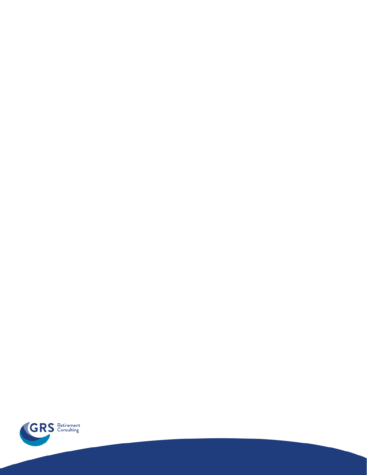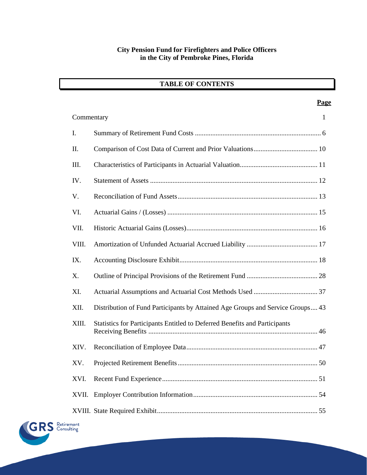# **TABLE OF CONTENTS**

|             | Commentary<br>1                                                                |  |  |  |  |  |  |  |  |  |  |
|-------------|--------------------------------------------------------------------------------|--|--|--|--|--|--|--|--|--|--|
| I.          |                                                                                |  |  |  |  |  |  |  |  |  |  |
| II.         |                                                                                |  |  |  |  |  |  |  |  |  |  |
| III.        |                                                                                |  |  |  |  |  |  |  |  |  |  |
| IV.         |                                                                                |  |  |  |  |  |  |  |  |  |  |
| V.          |                                                                                |  |  |  |  |  |  |  |  |  |  |
| VI.         |                                                                                |  |  |  |  |  |  |  |  |  |  |
| VII.        |                                                                                |  |  |  |  |  |  |  |  |  |  |
| VIII.       |                                                                                |  |  |  |  |  |  |  |  |  |  |
| IX.         |                                                                                |  |  |  |  |  |  |  |  |  |  |
| $X_{\cdot}$ |                                                                                |  |  |  |  |  |  |  |  |  |  |
| XI.         |                                                                                |  |  |  |  |  |  |  |  |  |  |
| XII.        | Distribution of Fund Participants by Attained Age Groups and Service Groups 43 |  |  |  |  |  |  |  |  |  |  |
| XIII.       | Statistics for Participants Entitled to Deferred Benefits and Participants     |  |  |  |  |  |  |  |  |  |  |
| XIV.        |                                                                                |  |  |  |  |  |  |  |  |  |  |
| XV.         |                                                                                |  |  |  |  |  |  |  |  |  |  |
| XVI.        |                                                                                |  |  |  |  |  |  |  |  |  |  |
| XVII.       |                                                                                |  |  |  |  |  |  |  |  |  |  |
|             |                                                                                |  |  |  |  |  |  |  |  |  |  |

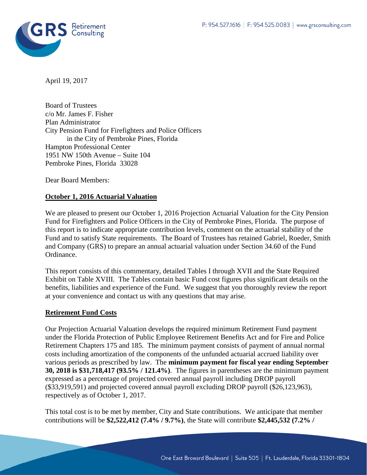

April 19, 2017

Board of Trustees c/o Mr. James F. Fisher Plan Administrator City Pension Fund for Firefighters and Police Officers in the City of Pembroke Pines, Florida Hampton Professional Center 1951 NW 150th Avenue – Suite 104 Pembroke Pines, Florida 33028

Dear Board Members:

#### **October 1, 2016 Actuarial Valuation**

We are pleased to present our October 1, 2016 Projection Actuarial Valuation for the City Pension Fund for Firefighters and Police Officers in the City of Pembroke Pines, Florida. The purpose of this report is to indicate appropriate contribution levels, comment on the actuarial stability of the Fund and to satisfy State requirements. The Board of Trustees has retained Gabriel, Roeder, Smith and Company (GRS) to prepare an annual actuarial valuation under Section 34.60 of the Fund Ordinance.

This report consists of this commentary, detailed Tables I through XVII and the State Required Exhibit on Table XVIII. The Tables contain basic Fund cost figures plus significant details on the benefits, liabilities and experience of the Fund. We suggest that you thoroughly review the report at your convenience and contact us with any questions that may arise.

#### **Retirement Fund Costs**

Our Projection Actuarial Valuation develops the required minimum Retirement Fund payment under the Florida Protection of Public Employee Retirement Benefits Act and for Fire and Police Retirement Chapters 175 and 185. The minimum payment consists of payment of annual normal costs including amortization of the components of the unfunded actuarial accrued liability over various periods as prescribed by law. The **minimum payment for fiscal year ending September 30, 2018 is \$31,718,417 (93.5% / 121.4%)**. The figures in parentheses are the minimum payment expressed as a percentage of projected covered annual payroll including DROP payroll (\$33,919,591) and projected covered annual payroll excluding DROP payroll (\$26,123,963), respectively as of October 1, 2017.

This total cost is to be met by member, City and State contributions. We anticipate that member contributions will be **\$2,522,412 (7.4% / 9.7%)**, the State will contribute **\$2,445,532 (7.2% /**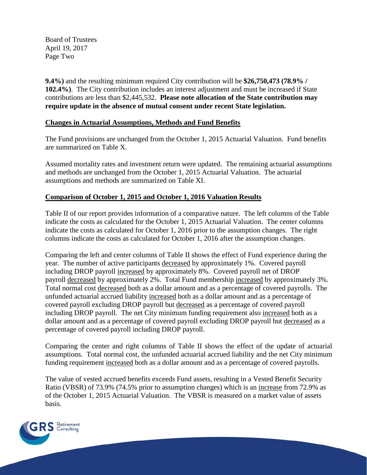Board of Trustees April 19, 2017 Page Two

**9.4%)** and the resulting minimum required City contribution will be **\$26,750,473 (78.9% / 102.4%)**. The City contribution includes an interest adjustment and must be increased if State contributions are less than \$2,445,532. **Please note allocation of the State contribution may require update in the absence of mutual consent under recent State legislation.**

#### **Changes in Actuarial Assumptions, Methods and Fund Benefits**

The Fund provisions are unchanged from the October 1, 2015 Actuarial Valuation. Fund benefits are summarized on Table X.

Assumed mortality rates and investment return were updated. The remaining actuarial assumptions and methods are unchanged from the October 1, 2015 Actuarial Valuation. The actuarial assumptions and methods are summarized on Table XI.

## **Comparison of October 1, 2015 and October 1, 2016 Valuation Results**

Table II of our report provides information of a comparative nature. The left columns of the Table indicate the costs as calculated for the October 1, 2015 Actuarial Valuation. The center columns indicate the costs as calculated for October 1, 2016 prior to the assumption changes. The right columns indicate the costs as calculated for October 1, 2016 after the assumption changes.

Comparing the left and center columns of Table II shows the effect of Fund experience during the year. The number of active participants decreased by approximately 1%. Covered payroll including DROP payroll increased by approximately 8%. Covered payroll net of DROP payroll decreased by approximately 2%. Total Fund membership increased by approximately 3%. Total normal cost decreased both as a dollar amount and as a percentage of covered payrolls. The unfunded actuarial accrued liability increased both as a dollar amount and as a percentage of covered payroll excluding DROP payroll but decreased as a percentage of covered payroll including DROP payroll. The net City minimum funding requirement also increased both as a dollar amount and as a percentage of covered payroll excluding DROP payroll but decreased as a percentage of covered payroll including DROP payroll.

Comparing the center and right columns of Table II shows the effect of the update of actuarial assumptions. Total normal cost, the unfunded actuarial accrued liability and the net City minimum funding requirement increased both as a dollar amount and as a percentage of covered payrolls.

The value of vested accrued benefits exceeds Fund assets, resulting in a Vested Benefit Security Ratio (VBSR) of 73.9% (74.5% prior to assumption changes) which is an increase from 72.9% as of the October 1, 2015 Actuarial Valuation. The VBSR is measured on a market value of assets basis.

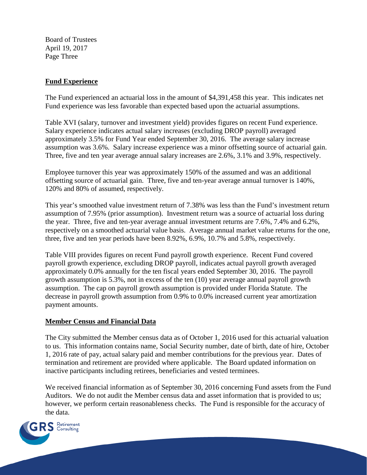Board of Trustees April 19, 2017 Page Three

## **Fund Experience**

The Fund experienced an actuarial loss in the amount of \$4,391,458 this year. This indicates net Fund experience was less favorable than expected based upon the actuarial assumptions.

Table XVI (salary, turnover and investment yield) provides figures on recent Fund experience. Salary experience indicates actual salary increases (excluding DROP payroll) averaged approximately 3.5% for Fund Year ended September 30, 2016. The average salary increase assumption was 3.6%. Salary increase experience was a minor offsetting source of actuarial gain. Three, five and ten year average annual salary increases are 2.6%, 3.1% and 3.9%, respectively.

Employee turnover this year was approximately 150% of the assumed and was an additional offsetting source of actuarial gain. Three, five and ten-year average annual turnover is 140%, 120% and 80% of assumed, respectively.

This year's smoothed value investment return of 7.38% was less than the Fund's investment return assumption of 7.95% (prior assumption). Investment return was a source of actuarial loss during the year. Three, five and ten-year average annual investment returns are 7.6%, 7.4% and 6.2%, respectively on a smoothed actuarial value basis. Average annual market value returns for the one, three, five and ten year periods have been 8.92%, 6.9%, 10.7% and 5.8%, respectively.

Table VIII provides figures on recent Fund payroll growth experience. Recent Fund covered payroll growth experience, excluding DROP payroll, indicates actual payroll growth averaged approximately 0.0% annually for the ten fiscal years ended September 30, 2016. The payroll growth assumption is 5.3%, not in excess of the ten (10) year average annual payroll growth assumption. The cap on payroll growth assumption is provided under Florida Statute. The decrease in payroll growth assumption from 0.9% to 0.0% increased current year amortization payment amounts.

## **Member Census and Financial Data**

The City submitted the Member census data as of October 1, 2016 used for this actuarial valuation to us. This information contains name, Social Security number, date of birth, date of hire, October 1, 2016 rate of pay, actual salary paid and member contributions for the previous year. Dates of termination and retirement are provided where applicable. The Board updated information on inactive participants including retirees, beneficiaries and vested terminees.

We received financial information as of September 30, 2016 concerning Fund assets from the Fund Auditors. We do not audit the Member census data and asset information that is provided to us; however, we perform certain reasonableness checks. The Fund is responsible for the accuracy of the data.

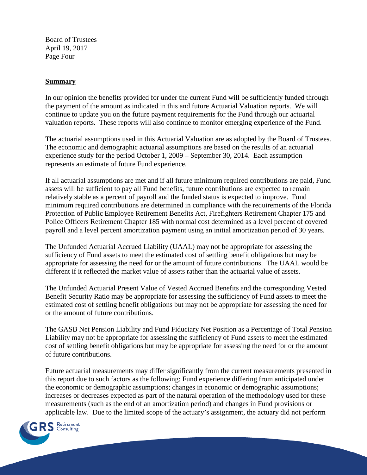Board of Trustees April 19, 2017 Page Four

#### **Summary**

In our opinion the benefits provided for under the current Fund will be sufficiently funded through the payment of the amount as indicated in this and future Actuarial Valuation reports. We will continue to update you on the future payment requirements for the Fund through our actuarial valuation reports. These reports will also continue to monitor emerging experience of the Fund.

The actuarial assumptions used in this Actuarial Valuation are as adopted by the Board of Trustees. The economic and demographic actuarial assumptions are based on the results of an actuarial experience study for the period October 1, 2009 – September 30, 2014. Each assumption represents an estimate of future Fund experience.

If all actuarial assumptions are met and if all future minimum required contributions are paid, Fund assets will be sufficient to pay all Fund benefits, future contributions are expected to remain relatively stable as a percent of payroll and the funded status is expected to improve. Fund minimum required contributions are determined in compliance with the requirements of the Florida Protection of Public Employee Retirement Benefits Act, Firefighters Retirement Chapter 175 and Police Officers Retirement Chapter 185 with normal cost determined as a level percent of covered payroll and a level percent amortization payment using an initial amortization period of 30 years.

The Unfunded Actuarial Accrued Liability (UAAL) may not be appropriate for assessing the sufficiency of Fund assets to meet the estimated cost of settling benefit obligations but may be appropriate for assessing the need for or the amount of future contributions. The UAAL would be different if it reflected the market value of assets rather than the actuarial value of assets.

The Unfunded Actuarial Present Value of Vested Accrued Benefits and the corresponding Vested Benefit Security Ratio may be appropriate for assessing the sufficiency of Fund assets to meet the estimated cost of settling benefit obligations but may not be appropriate for assessing the need for or the amount of future contributions.

The GASB Net Pension Liability and Fund Fiduciary Net Position as a Percentage of Total Pension Liability may not be appropriate for assessing the sufficiency of Fund assets to meet the estimated cost of settling benefit obligations but may be appropriate for assessing the need for or the amount of future contributions.

Future actuarial measurements may differ significantly from the current measurements presented in this report due to such factors as the following: Fund experience differing from anticipated under the economic or demographic assumptions; changes in economic or demographic assumptions; increases or decreases expected as part of the natural operation of the methodology used for these measurements (such as the end of an amortization period) and changes in Fund provisions or applicable law. Due to the limited scope of the actuary's assignment, the actuary did not perform

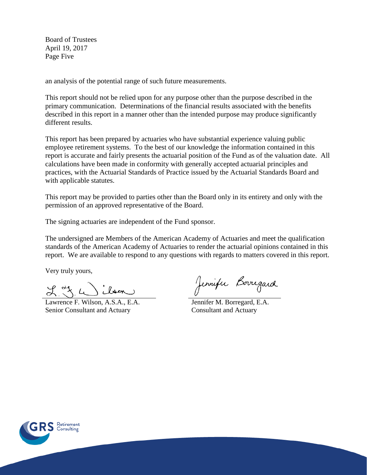Board of Trustees April 19, 2017 Page Five

an analysis of the potential range of such future measurements.

This report should not be relied upon for any purpose other than the purpose described in the primary communication. Determinations of the financial results associated with the benefits described in this report in a manner other than the intended purpose may produce significantly different results.

This report has been prepared by actuaries who have substantial experience valuing public employee retirement systems. To the best of our knowledge the information contained in this report is accurate and fairly presents the actuarial position of the Fund as of the valuation date. All calculations have been made in conformity with generally accepted actuarial principles and practices, with the Actuarial Standards of Practice issued by the Actuarial Standards Board and with applicable statutes.

This report may be provided to parties other than the Board only in its entirety and only with the permission of an approved representative of the Board.

The signing actuaries are independent of the Fund sponsor.

The undersigned are Members of the American Academy of Actuaries and meet the qualification standards of the American Academy of Actuaries to render the actuarial opinions contained in this report. We are available to respond to any questions with regards to matters covered in this report.

Very truly yours,

 $L_{\rm X} = L_{\rm max}$ 

Lawrence F. Wilson, A.S.A., E.A. Senior Consultant and Actuary

Jennifee Borregard

Jennifer M. Borregard, E.A. Consultant and Actuary

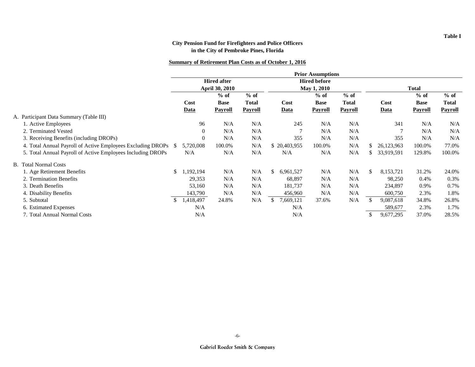#### **Summary of Retirement Plan Costs as of October 1, 2016**

|                                                                | <b>Prior Assumptions</b> |                       |             |                |    |                     |             |              |    |              |             |                |  |
|----------------------------------------------------------------|--------------------------|-----------------------|-------------|----------------|----|---------------------|-------------|--------------|----|--------------|-------------|----------------|--|
|                                                                |                          | <b>Hired after</b>    |             |                |    | <b>Hired before</b> |             |              |    |              |             |                |  |
|                                                                |                          | <b>April 30, 2010</b> |             |                |    | <b>May 1, 2010</b>  |             |              |    | <b>Total</b> |             |                |  |
|                                                                |                          |                       | $%$ of      | $%$ of         |    |                     | $%$ of      | $%$ of       |    |              | $%$ of      | $%$ of         |  |
|                                                                | Cost                     |                       | <b>Base</b> | <b>Total</b>   |    | Cost                | <b>Base</b> | <b>Total</b> |    | Cost         | <b>Base</b> | <b>Total</b>   |  |
|                                                                | Data                     |                       | Payroll     | <b>Payroll</b> |    | Data                | Payroll     | Payroll      |    | Data         | Payroll     | <b>Payroll</b> |  |
| A. Participant Data Summary (Table III)                        |                          |                       |             |                |    |                     |             |              |    |              |             |                |  |
| 1. Active Employees                                            |                          | 96                    | N/A         | N/A            |    | 245                 | N/A         | N/A          |    | 341          | N/A         | N/A            |  |
| 2. Terminated Vested                                           |                          | $\theta$              | N/A         | N/A            |    |                     | N/A         | N/A          |    |              | N/A         | N/A            |  |
| 3. Receiving Benefits (including DROPs)                        |                          | $\theta$              | N/A         | N/A            |    | 355                 | N/A         | N/A          |    | 355          | N/A         | N/A            |  |
| 4. Total Annual Payroll of Active Employees Excluding DROPs \$ |                          | 5,720,008             | 100.0%      | N/A            |    | \$20,403,955        | 100.0%      | N/A          | S. | 26,123,963   | 100.0%      | 77.0%          |  |
| 5. Total Annual Payroll of Active Employees Including DROPs    | N/A                      |                       | N/A         | N/A            |    | N/A                 | N/A         | N/A          | \$ | 33,919,591   | 129.8%      | 100.0%         |  |
| <b>B.</b> Total Normal Costs                                   |                          |                       |             |                |    |                     |             |              |    |              |             |                |  |
| 1. Age Retirement Benefits                                     | \$                       | ,192,194              | N/A         | N/A            | \$ | 6,961,527           | N/A         | N/A          | \$ | 8,153,721    | 31.2%       | 24.0%          |  |
| 2. Termination Benefits                                        |                          | 29,353                | N/A         | N/A            |    | 68,897              | N/A         | N/A          |    | 98,250       | 0.4%        | 0.3%           |  |
| 3. Death Benefits                                              |                          | 53,160                | N/A         | N/A            |    | 181,737             | N/A         | N/A          |    | 234,897      | 0.9%        | 0.7%           |  |
| 4. Disability Benefits                                         |                          | 143,790               | N/A         | N/A            |    | 456,960             | N/A         | N/A          |    | 600,750      | 2.3%        | 1.8%           |  |
| 5. Subtotal                                                    |                          | ,418,497              | 24.8%       | N/A            |    | 7,669,121           | 37.6%       | N/A          |    | 9,087,618    | 34.8%       | 26.8%          |  |
| 6. Estimated Expenses                                          |                          | N/A                   |             |                |    | N/A                 |             |              |    | 589,677      | 2.3%        | 1.7%           |  |
| 7. Total Annual Normal Costs                                   |                          | N/A                   |             |                |    | N/A                 |             |              | \$ | 9,677,295    | 37.0%       | 28.5%          |  |

**Table I**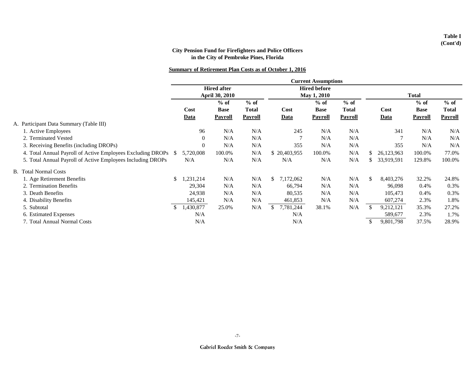#### **Summary of Retirement Plan Costs as of October 1, 2016**

|                                                                | <b>Current Assumptions</b> |                                             |                                  |                                   |  |              |                                    |                                   |                    |              |                                  |                                          |
|----------------------------------------------------------------|----------------------------|---------------------------------------------|----------------------------------|-----------------------------------|--|--------------|------------------------------------|-----------------------------------|--------------------|--------------|----------------------------------|------------------------------------------|
|                                                                |                            | <b>Hired after</b><br><b>April 30, 2010</b> |                                  |                                   |  |              | <b>Hired before</b><br>May 1, 2010 |                                   | <b>Total</b>       |              |                                  |                                          |
|                                                                |                            | Cost<br>Data                                | $%$ of<br><b>Base</b><br>Payroll | $%$ of<br><b>Total</b><br>Payroll |  | Cost<br>Data | $%$ of<br><b>Base</b><br>Payroll   | $%$ of<br><b>Total</b><br>Payroll |                    | Cost<br>Data | $%$ of<br><b>Base</b><br>Payroll | $%$ of<br><b>Total</b><br><b>Payroll</b> |
| A. Participant Data Summary (Table III)                        |                            |                                             |                                  |                                   |  |              |                                    |                                   |                    |              |                                  |                                          |
| 1. Active Employees                                            |                            | 96                                          | N/A                              | N/A                               |  | 245          | N/A                                | N/A                               |                    | 341          | N/A                              | N/A                                      |
| 2. Terminated Vested                                           |                            | $\overline{0}$                              | N/A                              | N/A                               |  |              | N/A                                | N/A                               |                    |              | N/A                              | N/A                                      |
| 3. Receiving Benefits (including DROPs)                        |                            | $\overline{0}$                              | N/A                              | N/A                               |  | 355          | N/A                                | N/A                               |                    | 355          | N/A                              | N/A                                      |
| 4. Total Annual Payroll of Active Employees Excluding DROPs \$ |                            | 5,720,008                                   | 100.0%                           | N/A                               |  | \$20,403,955 | 100.0%                             | N/A                               | S.                 | 26,123,963   | 100.0%                           | 77.0%                                    |
| 5. Total Annual Payroll of Active Employees Including DROPs    |                            | N/A                                         | N/A                              | N/A                               |  | N/A          | N/A                                | N/A                               | S                  | 33,919,591   | 129.8%                           | 100.0%                                   |
| <b>B.</b> Total Normal Costs                                   |                            |                                             |                                  |                                   |  |              |                                    |                                   |                    |              |                                  |                                          |
| 1. Age Retirement Benefits                                     | $\mathbb{S}$               | ,231,214                                    | N/A                              | N/A                               |  | 7,172,062    | N/A                                | N/A                               | $\mathbf{\hat{S}}$ | 8,403,276    | 32.2%                            | 24.8%                                    |
| 2. Termination Benefits                                        |                            | 29,304                                      | N/A                              | N/A                               |  | 66,794       | N/A                                | N/A                               |                    | 96,098       | 0.4%                             | 0.3%                                     |
| 3. Death Benefits                                              |                            | 24,938                                      | N/A                              | N/A                               |  | 80,535       | N/A                                | N/A                               |                    | 105,473      | 0.4%                             | 0.3%                                     |
| 4. Disability Benefits                                         |                            | 145,421                                     | N/A                              | N/A                               |  | 461,853      | N/A                                | N/A                               |                    | 607,274      | 2.3%                             | 1.8%                                     |
| 5. Subtotal                                                    |                            | 1,430,877                                   | 25.0%                            | N/A                               |  | 7,781,244    | 38.1%                              | N/A                               | Ж                  | 9,212,121    | 35.3%                            | 27.2%                                    |
| 6. Estimated Expenses                                          |                            | N/A                                         |                                  |                                   |  | N/A          |                                    |                                   |                    | 589,677      | 2.3%                             | 1.7%                                     |
| 7. Total Annual Normal Costs                                   |                            | N/A                                         |                                  |                                   |  | N/A          |                                    |                                   | \$                 | 9,801,798    | 37.5%                            | 28.9%                                    |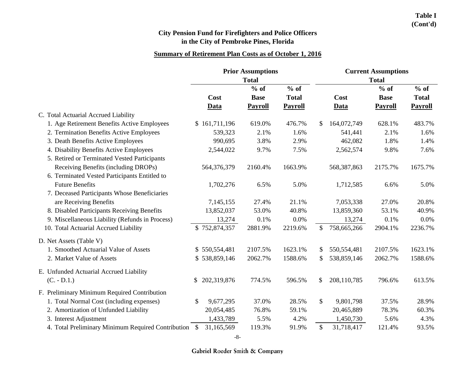#### **Summary of Retirement Plan Costs as of October 1, 2016**

|                                                       | <b>Prior Assumptions</b> |               |                |                |              | <b>Current Assumptions</b> |                |                |  |  |  |
|-------------------------------------------------------|--------------------------|---------------|----------------|----------------|--------------|----------------------------|----------------|----------------|--|--|--|
|                                                       |                          |               | <b>Total</b>   |                |              |                            | <b>Total</b>   |                |  |  |  |
|                                                       |                          |               | $%$ of         | $%$ of         |              |                            | $%$ of         | $%$ of         |  |  |  |
|                                                       |                          | Cost          | <b>Base</b>    | <b>Total</b>   |              | Cost                       | <b>Base</b>    | <b>Total</b>   |  |  |  |
|                                                       |                          | Data          | <b>Payroll</b> | <b>Payroll</b> |              | Data                       | <b>Payroll</b> | <b>Payroll</b> |  |  |  |
| C. Total Actuarial Accrued Liability                  |                          |               |                |                |              |                            |                |                |  |  |  |
| 1. Age Retirement Benefits Active Employees           |                          | \$161,711,196 | 619.0%         | 476.7%         | \$           | 164,072,749                | 628.1%         | 483.7%         |  |  |  |
| 2. Termination Benefits Active Employees              |                          | 539,323       | 2.1%           | 1.6%           |              | 541,441                    | 2.1%           | 1.6%           |  |  |  |
| 3. Death Benefits Active Employees                    |                          | 990,695       | 3.8%           | 2.9%           |              | 462,082                    | 1.8%           | 1.4%           |  |  |  |
| 4. Disability Benefits Active Employees               |                          | 2,544,022     | 9.7%           | 7.5%           |              | 2,562,574                  | 9.8%           | 7.6%           |  |  |  |
| 5. Retired or Terminated Vested Participants          |                          |               |                |                |              |                            |                |                |  |  |  |
| Receiving Benefits (including DROPs)                  |                          | 564,376,379   | 2160.4%        | 1663.9%        |              | 568,387,863                | 2175.7%        | 1675.7%        |  |  |  |
| 6. Terminated Vested Participants Entitled to         |                          |               |                |                |              |                            |                |                |  |  |  |
| <b>Future Benefits</b>                                |                          | 1,702,276     | 6.5%           | 5.0%           |              | 1,712,585                  | 6.6%           | 5.0%           |  |  |  |
| 7. Deceased Participants Whose Beneficiaries          |                          |               |                |                |              |                            |                |                |  |  |  |
| are Receiving Benefits                                |                          | 7,145,155     | 27.4%          | 21.1%          |              | 7,053,338                  | 27.0%          | 20.8%          |  |  |  |
| 8. Disabled Participants Receiving Benefits           |                          | 13,852,037    | 53.0%          | 40.8%          |              | 13,859,360                 | 53.1%          | 40.9%          |  |  |  |
| 9. Miscellaneous Liability (Refunds in Process)       |                          | 13,274        | 0.1%           | 0.0%           |              | 13,274                     | 0.1%           | 0.0%           |  |  |  |
| 10. Total Actuarial Accrued Liability                 |                          | \$752,874,357 | 2881.9%        | 2219.6%        | $\mathbb{S}$ | 758,665,266                | 2904.1%        | 2236.7%        |  |  |  |
| D. Net Assets (Table V)                               |                          |               |                |                |              |                            |                |                |  |  |  |
| 1. Smoothed Actuarial Value of Assets                 |                          | \$550,554,481 | 2107.5%        | 1623.1%        | \$           | 550, 554, 481              | 2107.5%        | 1623.1%        |  |  |  |
| 2. Market Value of Assets                             |                          | \$538,859,146 | 2062.7%        | 1588.6%        | \$           | 538,859,146                | 2062.7%        | 1588.6%        |  |  |  |
| E. Unfunded Actuarial Accrued Liability               |                          |               |                |                |              |                            |                |                |  |  |  |
| $(C. - D.1.)$                                         | \$                       | 202,319,876   | 774.5%         | 596.5%         | $\mathbb{S}$ | 208,110,785                | 796.6%         | 613.5%         |  |  |  |
| F. Preliminary Minimum Required Contribution          |                          |               |                |                |              |                            |                |                |  |  |  |
| 1. Total Normal Cost (including expenses)             | \$                       | 9,677,295     | 37.0%          | 28.5%          | \$           | 9,801,798                  | 37.5%          | 28.9%          |  |  |  |
| 2. Amortization of Unfunded Liability                 |                          | 20,054,485    | 76.8%          | 59.1%          |              | 20,465,889                 | 78.3%          | 60.3%          |  |  |  |
| 3. Interest Adjustment                                |                          | 1,433,789     | 5.5%           | 4.2%           |              | 1,450,730                  | 5.6%           | 4.3%           |  |  |  |
| 4. Total Preliminary Minimum Required Contribution \$ |                          | 31,165,569    | 119.3%         | 91.9%          | \$           | 31,718,417                 | 121.4%         | 93.5%          |  |  |  |

-8-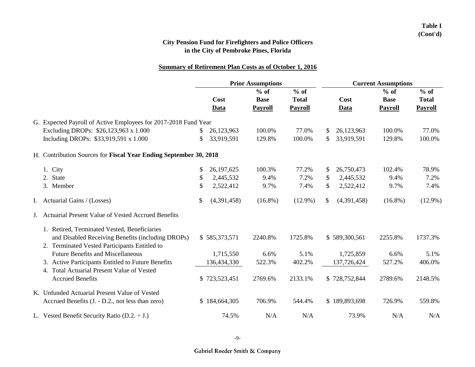#### **Summary of Retirement Plan Costs as of October 1, 2016**

|                                                                                                    | <b>Prior Assumptions</b> |               |                                         |                                          |    | <b>Current Assumptions</b> |                                         |                                          |  |  |
|----------------------------------------------------------------------------------------------------|--------------------------|---------------|-----------------------------------------|------------------------------------------|----|----------------------------|-----------------------------------------|------------------------------------------|--|--|
|                                                                                                    |                          | Cost<br>Data  | $%$ of<br><b>Base</b><br><b>Payroll</b> | $%$ of<br><b>Total</b><br><b>Payroll</b> |    | Cost<br>Data               | $%$ of<br><b>Base</b><br><b>Payroll</b> | $%$ of<br><b>Total</b><br><b>Payroll</b> |  |  |
| G. Expected Payroll of Active Employees for 2017-2018 Fund Year                                    |                          |               |                                         |                                          |    |                            |                                         |                                          |  |  |
| Excluding DROPs: \$26,123,963 x 1.000                                                              | \$                       | 26,123,963    | 100.0%                                  | 77.0%                                    | \$ | 26,123,963                 | 100.0%                                  | 77.0%                                    |  |  |
| Including DROPs: \$33,919,591 x 1.000                                                              | \$                       | 33,919,591    | 129.8%                                  | 100.0%                                   | \$ | 33,919,591                 | 129.8%                                  | 100.0%                                   |  |  |
| H. Contribution Sources for Fiscal Year Ending September 30, 2018                                  |                          |               |                                         |                                          |    |                            |                                         |                                          |  |  |
| 1. City                                                                                            | \$                       | 26,197,625    | 100.3%                                  | 77.2%                                    | \$ | 26,750,473                 | 102.4%                                  | 78.9%                                    |  |  |
| 2. State                                                                                           | \$                       | 2,445,532     | 9.4%                                    | 7.2%                                     | \$ | 2,445,532                  | 9.4%                                    | 7.2%                                     |  |  |
| 3. Member                                                                                          | \$                       | 2,522,412     | 9.7%                                    | 7.4%                                     | \$ | 2,522,412                  | 9.7%                                    | 7.4%                                     |  |  |
| I. Actuarial Gains / (Losses)                                                                      | \$                       | (4,391,458)   | $(16.8\%)$                              | $(12.9\%)$                               | \$ | (4,391,458)                | $(16.8\%)$                              | $(12.9\%)$                               |  |  |
| J. Actuarial Present Value of Vested Accrued Benefits                                              |                          |               |                                         |                                          |    |                            |                                         |                                          |  |  |
| 1. Retired, Terminated Vested, Beneficiaries                                                       |                          |               |                                         |                                          |    |                            |                                         |                                          |  |  |
| and Disabled Receiving Benefits (including DROPs)<br>2. Terminated Vested Participants Entitled to |                          | \$585,373,571 | 2240.8%                                 | 1725.8%                                  |    | \$589,300,561              | 2255.8%                                 | 1737.3%                                  |  |  |
| <b>Future Benefits and Miscellaneous</b>                                                           |                          | 1,715,550     | 6.6%                                    | 5.1%                                     |    | 1,725,859                  | 6.6%                                    | 5.1%                                     |  |  |
| 3. Active Participants Entitled to Future Benefits                                                 |                          | 136,434,330   | 522.3%                                  | 402.2%                                   |    | 137,726,424                | 527.2%                                  | 406.0%                                   |  |  |
| 4. Total Actuarial Present Value of Vested                                                         |                          |               |                                         |                                          |    |                            |                                         |                                          |  |  |
| <b>Accrued Benefits</b>                                                                            |                          | \$723,523,451 | 2769.6%                                 | 2133.1%                                  |    | \$728,752,844              | 2789.6%                                 | 2148.5%                                  |  |  |
| K. Unfunded Actuarial Present Value of Vested                                                      |                          |               |                                         |                                          |    |                            |                                         |                                          |  |  |
| Accrued Benefits (J. - D.2., not less than zero)                                                   |                          | \$184,664,305 | 706.9%                                  | 544.4%                                   |    | \$189,893,698              | 726.9%                                  | 559.8%                                   |  |  |
| L. Vested Benefit Security Ratio ( $D.2. \div J$ .)                                                |                          | 74.5%         | N/A                                     | N/A                                      |    | 73.9%                      | N/A                                     | N/A                                      |  |  |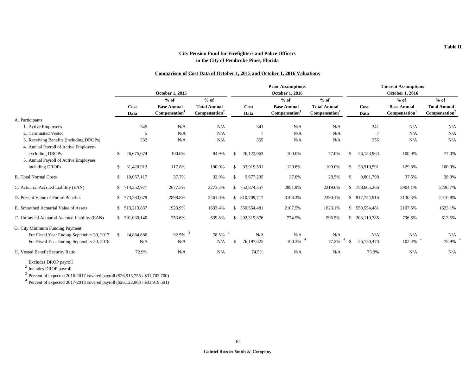#### **Comparison of Cost Data of October 1, 2015 and October 1, 2016 Valuations**

|                                                                                                                           | October 1, 2015 |                   |                                                 |                                                  | <b>Prior Assumptions</b><br><b>October 1, 2016</b> |                   |                                                 |                                                  |     | <b>Current Assumptions</b><br><b>October 1, 2016</b> |                                           |                                                  |  |
|---------------------------------------------------------------------------------------------------------------------------|-----------------|-------------------|-------------------------------------------------|--------------------------------------------------|----------------------------------------------------|-------------------|-------------------------------------------------|--------------------------------------------------|-----|------------------------------------------------------|-------------------------------------------|--------------------------------------------------|--|
|                                                                                                                           |                 |                   | $%$ of                                          | $%$ of                                           |                                                    |                   | $%$ of                                          | $%$ of                                           |     |                                                      | $%$ of                                    | $%$ of                                           |  |
|                                                                                                                           |                 | Cost<br>Data      | <b>Base Annual</b><br>Compensation <sup>1</sup> | <b>Total Annual</b><br>Compensation <sup>2</sup> |                                                    | Cost<br>Data      | <b>Base Annual</b><br>Compensation <sup>1</sup> | <b>Total Annual</b><br>Compensation <sup>2</sup> |     | Cost<br>Data                                         | <b>Base Annual</b><br><b>Compensation</b> | <b>Total Annual</b><br>Compensation <sup>2</sup> |  |
| A. Participants                                                                                                           |                 |                   |                                                 |                                                  |                                                    |                   |                                                 |                                                  |     |                                                      |                                           |                                                  |  |
| 1. Active Employees                                                                                                       |                 | 345               | N/A                                             | N/A                                              |                                                    | 341               | N/A                                             | N/A                                              |     | 341                                                  | N/A                                       | N/A                                              |  |
| 2. Terminated Vested                                                                                                      |                 | 5                 | N/A                                             | N/A                                              |                                                    | $7\phantom{.0}$   | N/A                                             | N/A                                              |     | $\overline{7}$                                       | N/A                                       | N/A                                              |  |
| 3. Receiving Benefits (including DROPs)<br>4. Annual Payroll of Active Employees                                          |                 | 332               | N/A                                             | N/A                                              |                                                    | 355               | N/A                                             | N/A                                              |     | 355                                                  | N/A                                       | N/A                                              |  |
| excluding DROPs<br>5. Annual Payroll of Active Employees                                                                  | \$              | 26,675,674        | 100.0%                                          | 84.9%                                            | \$.                                                | 26,123,963        | 100.0%                                          | 77.0%                                            |     | 26,123,963                                           | 100.0%                                    | 77.0%                                            |  |
| including DROPs                                                                                                           | S.              | 31,420,912        | 117.8%                                          | 100.0%                                           | \$.                                                | 33,919,591        | 129.8%                                          | 100.0%                                           |     | 33,919,591                                           | 129.8%                                    | 100.0%                                           |  |
| <b>B.</b> Total Normal Costs                                                                                              | <sup>\$</sup>   | 10,057,117        | 37.7%                                           | 32.0%                                            | \$.                                                | 9,677,295         | 37.0%                                           | 28.5%                                            | \$. | 9,801,798                                            | 37.5%                                     | 28.9%                                            |  |
| C. Actuarial Accrued Liability (EAN)                                                                                      |                 | \$ 714,252,977    | 2677.5%                                         | 2273.2%                                          |                                                    | \$752,874,357     | 2881.9%                                         | 2219.6%                                          |     | \$758,665,266                                        | 2904.1%                                   | 2236.7%                                          |  |
| D. Present Value of Future Benefits                                                                                       |                 | \$773,283,679     | 2898.8%                                         | 2461.0%                                          |                                                    | \$ 810,709,717    | 3103.3%                                         | 2390.1%                                          |     | \$ 817,754,916                                       | 3130.3%                                   | 2410.9%                                          |  |
| E. Smoothed Actuarial Value of Assets                                                                                     |                 | \$ 513,213,837    | 1923.9%                                         | 1633.4%                                          |                                                    | \$ 550,554,481    | 2107.5%                                         | 1623.1%                                          |     | \$ 550,554,481                                       | 2107.5%                                   | 1623.1%                                          |  |
| F. Unfunded Actuarial Accrued Liability (EAN)                                                                             |                 | \$ 201,039,140    | 753.6%                                          | 639.8%                                           |                                                    | \$ 202,319,876    | 774.5%                                          | 596.5%                                           | \$  | 208,110,785                                          | 796.6%                                    | 613.5%                                           |  |
| G. City Minimum Funding Payment<br>For Fiscal Year Ending September 30, 2017<br>For Fiscal Year Ending September 30, 2018 | -S              | 24,884,886<br>N/A | 3<br>92.5%<br>N/A                               | 78.5%<br>N/A                                     | <sup>\$</sup>                                      | N/A<br>26,197,625 | N/A<br>100.3%                                   | N/A<br>4<br>77.2%                                | £.  | N/A<br>26,750,473                                    | N/A<br>102.4%                             | N/A<br>78.9%                                     |  |
| H. Vested Benefit Security Ratio                                                                                          |                 | 72.9%             | N/A                                             | N/A                                              |                                                    | 74.5%             | N/A                                             | N/A                                              |     | 73.9%                                                | N/A                                       | N/A                                              |  |

 $^{\rm 1}$  Excludes DROP payroll

<sup>2</sup> Includes DROP payroll

<sup>3</sup> Percent of expected 2016-2017 covered payroll (\$26,915,755 / \$31,703,700)

 $4$  Percent of expected 2017-2018 covered payroll (\$26,123,963 / \$33,919,591)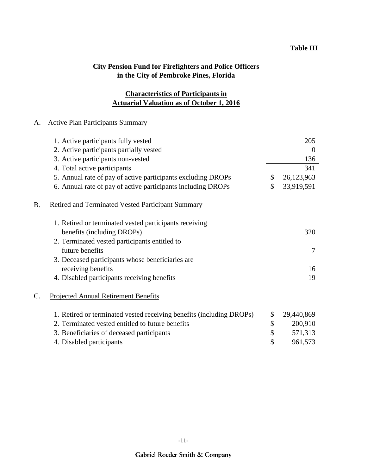# **Actuarial Valuation as of October 1, 2016 Characteristics of Participants in**

## A. Active Plan Participants Summary

|    | 1. Active participants fully vested                                  | 205              |
|----|----------------------------------------------------------------------|------------------|
|    | 2. Active participants partially vested                              | $\Omega$         |
|    | 3. Active participants non-vested                                    | 136              |
|    | 4. Total active participants                                         | 341              |
|    | 5. Annual rate of pay of active participants excluding DROPs         | \$<br>26,123,963 |
|    | 6. Annual rate of pay of active participants including DROPs         | \$<br>33,919,591 |
| B. | <b>Retired and Terminated Vested Participant Summary</b>             |                  |
|    | 1. Retired or terminated vested participants receiving               |                  |
|    | benefits (including DROPs)                                           | 320              |
|    | 2. Terminated vested participants entitled to                        |                  |
|    | future benefits                                                      | 7                |
|    | 3. Deceased participants whose beneficiaries are                     |                  |
|    | receiving benefits                                                   | 16               |
|    | 4. Disabled participants receiving benefits                          | 19               |
| C. | <b>Projected Annual Retirement Benefits</b>                          |                  |
|    | 1. Retired or terminated vested receiving benefits (including DROPs) | \$<br>29,440,869 |
|    | 2. Terminated vested entitled to future benefits                     | \$<br>200,910    |
|    | 3. Beneficiaries of deceased participants                            | \$<br>571,313    |
|    | 4. Disabled participants                                             | \$<br>961,573    |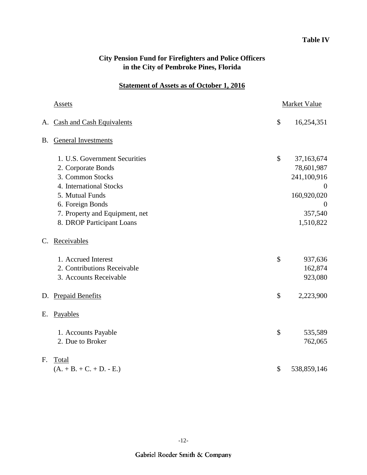# **Table IV**

| <b>City Pension Fund for Firefighters and Police Officers</b> |  |
|---------------------------------------------------------------|--|
| in the City of Pembroke Pines, Florida                        |  |

# **Statement of Assets as of October 1, 2016**

|    | <b>Assets</b>                  | <b>Market Value</b> |                |  |  |
|----|--------------------------------|---------------------|----------------|--|--|
|    | A. Cash and Cash Equivalents   | \$                  | 16,254,351     |  |  |
|    | <b>B.</b> General Investments  |                     |                |  |  |
|    | 1. U.S. Government Securities  | \$                  | 37,163,674     |  |  |
|    | 2. Corporate Bonds             |                     | 78,601,987     |  |  |
|    | 3. Common Stocks               |                     | 241,100,916    |  |  |
|    | 4. International Stocks        |                     | $\overline{0}$ |  |  |
|    | 5. Mutual Funds                |                     | 160,920,020    |  |  |
|    | 6. Foreign Bonds               |                     | $\theta$       |  |  |
|    | 7. Property and Equipment, net |                     | 357,540        |  |  |
|    | 8. DROP Participant Loans      |                     | 1,510,822      |  |  |
| C. | Receivables                    |                     |                |  |  |
|    | 1. Accrued Interest            | \$                  | 937,636        |  |  |
|    | 2. Contributions Receivable    |                     | 162,874        |  |  |
|    | 3. Accounts Receivable         |                     | 923,080        |  |  |
| D. | <b>Prepaid Benefits</b>        | \$                  | 2,223,900      |  |  |
| Е. | Payables                       |                     |                |  |  |
|    | 1. Accounts Payable            | \$                  | 535,589        |  |  |
|    | 2. Due to Broker               |                     | 762,065        |  |  |
| F. | Total                          |                     |                |  |  |
|    | $(A. + B. + C. + D. - E.)$     | \$                  | 538,859,146    |  |  |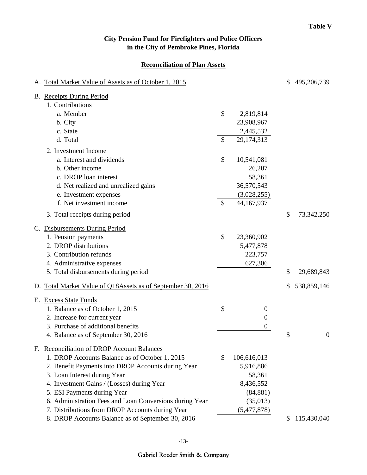# **Reconciliation of Plan Assets**

|    | A. Total Market Value of Assets as of October 1, 2015       |                        | \$<br>495,206,739      |
|----|-------------------------------------------------------------|------------------------|------------------------|
|    | <b>B.</b> Receipts During Period                            |                        |                        |
|    | 1. Contributions                                            |                        |                        |
|    | a. Member                                                   | \$<br>2,819,814        |                        |
|    | b. City                                                     | 23,908,967             |                        |
|    | c. State                                                    | 2,445,532              |                        |
|    | d. Total                                                    | \$<br>29,174,313       |                        |
|    | 2. Investment Income                                        |                        |                        |
|    | a. Interest and dividends                                   | \$<br>10,541,081       |                        |
|    | b. Other income                                             | 26,207                 |                        |
|    | c. DROP loan interest                                       | 58,361                 |                        |
|    | d. Net realized and unrealized gains                        | 36,570,543             |                        |
|    | e. Investment expenses                                      | (3,028,255)            |                        |
|    | f. Net investment income                                    | \$<br>44,167,937       |                        |
|    | 3. Total receipts during period                             |                        | \$<br>73,342,250       |
|    | C. Disbursements During Period                              |                        |                        |
|    | 1. Pension payments                                         | \$<br>23,360,902       |                        |
|    | 2. DROP distributions                                       | 5,477,878              |                        |
|    | 3. Contribution refunds                                     | 223,757                |                        |
|    | 4. Administrative expenses                                  | 627,306                |                        |
|    | 5. Total disbursements during period                        |                        | \$<br>29,689,843       |
|    | D. Total Market Value of Q18Assets as of September 30, 2016 |                        | \$<br>538,859,146      |
|    | E. Excess State Funds                                       |                        |                        |
|    | 1. Balance as of October 1, 2015                            | \$<br>$\boldsymbol{0}$ |                        |
|    | 2. Increase for current year                                | $\boldsymbol{0}$       |                        |
|    | 3. Purchase of additional benefits                          | $\overline{0}$         |                        |
|    | 4. Balance as of September 30, 2016                         |                        | \$<br>$\boldsymbol{0}$ |
| F. | <b>Reconciliation of DROP Account Balances</b>              |                        |                        |
|    | 1. DROP Accounts Balance as of October 1, 2015              | \$<br>106,616,013      |                        |
|    | 2. Benefit Payments into DROP Accounts during Year          | 5,916,886              |                        |
|    | 3. Loan Interest during Year                                | 58,361                 |                        |
|    | 4. Investment Gains / (Losses) during Year                  | 8,436,552              |                        |
|    | 5. ESI Payments during Year                                 | (84, 881)              |                        |
|    | 6. Administration Fees and Loan Conversions during Year     | (35,013)               |                        |
|    | 7. Distributions from DROP Accounts during Year             | (5,477,878)            |                        |
|    | 8. DROP Accounts Balance as of September 30, 2016           |                        | \$<br>115,430,040      |
|    |                                                             |                        |                        |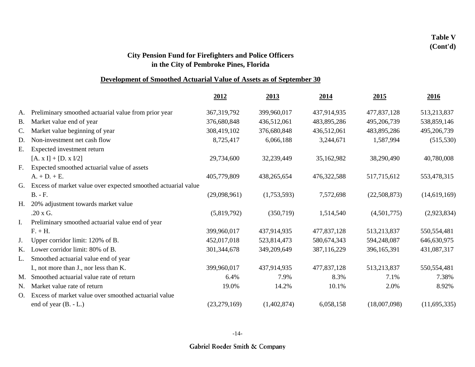# **City Pension Fund for Firefighters and Police Officers in the City of Pembroke Pines, Florida**

#### **Development of Smoothed Actuarial Value of Assets as of September 30**

|                |                                                               | 2012           | 2013        | <u>2014</u>   | 2015          | 2016          |
|----------------|---------------------------------------------------------------|----------------|-------------|---------------|---------------|---------------|
| А.             | Preliminary smoothed actuarial value from prior year          | 367, 319, 792  | 399,960,017 | 437,914,935   | 477,837,128   | 513,213,837   |
| <b>B.</b>      | Market value end of year                                      | 376,680,848    | 436,512,061 | 483,895,286   | 495,206,739   | 538,859,146   |
| C.             | Market value beginning of year                                | 308,419,102    | 376,680,848 | 436,512,061   | 483,895,286   | 495,206,739   |
| D.             | Non-investment net cash flow                                  | 8,725,417      | 6,066,188   | 3,244,671     | 1,587,994     | (515, 530)    |
| Е.             | Expected investment return                                    |                |             |               |               |               |
|                | $[A, x I] + [D, x I/2]$                                       | 29,734,600     | 32,239,449  | 35,162,982    | 38,290,490    | 40,780,008    |
| F <sub>r</sub> | Expected smoothed actuarial value of assets                   |                |             |               |               |               |
|                | $A. + D. + E.$                                                | 405,779,809    | 438,265,654 | 476, 322, 588 | 517,715,612   | 553,478,315   |
| G.             | Excess of market value over expected smoothed actuarial value |                |             |               |               |               |
|                | $B. - F.$                                                     | (29,098,961)   | (1,753,593) | 7,572,698     | (22,508,873)  | (14,619,169)  |
| Н.             | 20% adjustment towards market value                           |                |             |               |               |               |
|                | .20 x G.                                                      | (5,819,792)    | (350,719)   | 1,514,540     | (4,501,775)   | (2,923,834)   |
| I.             | Preliminary smoothed actuarial value end of year              |                |             |               |               |               |
|                | $F. + H.$                                                     | 399,960,017    | 437,914,935 | 477,837,128   | 513,213,837   | 550, 554, 481 |
| J.             | Upper corridor limit: 120% of B.                              | 452,017,018    | 523,814,473 | 580,674,343   | 594,248,087   | 646,630,975   |
|                | K. Lower corridor limit: 80% of B.                            | 301, 344, 678  | 349,209,649 | 387,116,229   | 396, 165, 391 | 431,087,317   |
| L.             | Smoothed actuarial value end of year                          |                |             |               |               |               |
|                | I., not more than J., nor less than K.                        | 399,960,017    | 437,914,935 | 477,837,128   | 513,213,837   | 550, 554, 481 |
| M.             | Smoothed actuarial value rate of return                       | 6.4%           | 7.9%        | 8.3%          | 7.1%          | 7.38%         |
| N.             | Market value rate of return                                   | 19.0%          | 14.2%       | 10.1%         | 2.0%          | 8.92%         |
|                | O. Excess of market value over smoothed actuarial value       |                |             |               |               |               |
|                | end of year $(B.-L.)$                                         | (23, 279, 169) | (1,402,874) | 6,058,158     | (18,007,098)  | (11,695,335)  |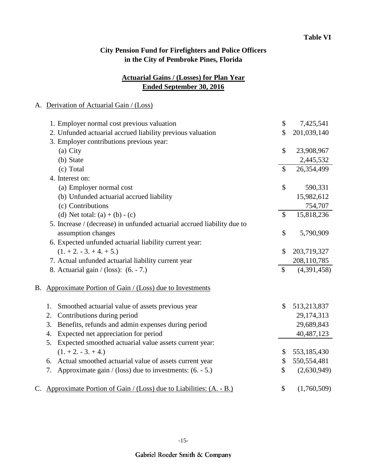#### **Table VI**

# **City Pension Fund for Firefighters and Police Officers in the City of Pembroke Pines, Florida**

# **Ended September 30, 2016 Actuarial Gains / (Losses) for Plan Year**

# A. Derivation of Actuarial Gain / (Loss)

|    | 1. Employer normal cost previous valuation                              | \$            | 7,425,541     |
|----|-------------------------------------------------------------------------|---------------|---------------|
|    | 2. Unfunded actuarial accrued liability previous valuation              | \$            | 201,039,140   |
|    | 3. Employer contributions previous year:                                |               |               |
|    | (a) City                                                                | \$            | 23,908,967    |
|    | (b) State                                                               |               | 2,445,532     |
|    | (c) Total                                                               | \$            | 26,354,499    |
|    | 4. Interest on:                                                         |               |               |
|    | (a) Employer normal cost                                                | \$            | 590,331       |
|    | (b) Unfunded actuarial accrued liability                                |               | 15,982,612    |
|    | (c) Contributions                                                       |               | 754,707       |
|    | (d) Net total: $(a) + (b) - (c)$                                        | \$            | 15,818,236    |
|    | 5. Increase / (decrease) in unfunded actuarial accrued liability due to |               |               |
|    | assumption changes                                                      | \$            | 5,790,909     |
|    | 6. Expected unfunded actuarial liability current year:                  |               |               |
|    | $(1. + 2. - 3. + 4. + 5.)$                                              | \$            | 203,719,327   |
|    | 7. Actual unfunded actuarial liability current year                     |               | 208,110,785   |
|    | 8. Actuarial gain / (loss): (6. - 7.)                                   | $\mathcal{S}$ | (4,391,458)   |
| Β. | Approximate Portion of Gain / (Loss) due to Investments                 |               |               |
|    | Smoothed actuarial value of assets previous year<br>1.                  | \$            | 513,213,837   |
|    | Contributions during period<br>2.                                       |               | 29,174,313    |
|    | Benefits, refunds and admin expenses during period<br>3.                |               | 29,689,843    |
|    | Expected net appreciation for period<br>4.                              |               | 40,487,123    |
|    | Expected smoothed actuarial value assets current year:<br>5.            |               |               |
|    | $(1. + 2. - 3. + 4.)$                                                   | \$            | 553,185,430   |
|    | 6. Actual smoothed actuarial value of assets current year               | \$            | 550, 554, 481 |
|    | Approximate gain / (loss) due to investments: $(6. - 5.)$<br>7.         | \$            | (2,630,949)   |
|    | C. Approximate Portion of Gain / (Loss) due to Liabilities: (A. - B.)   | \$            | (1,760,509)   |
|    |                                                                         |               |               |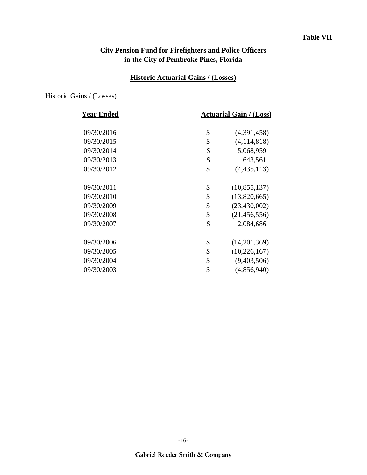#### **Table VII**

# **City Pension Fund for Firefighters and Police Officers in the City of Pembroke Pines, Florida**

# **Historic Actuarial Gains / (Losses)**

#### Historic Gains / (Losses)

| <b>Year Ended</b> | <b>Actuarial Gain / (Loss)</b> |
|-------------------|--------------------------------|
| 09/30/2016        | \$<br>(4,391,458)              |
| 09/30/2015        | \$<br>(4,114,818)              |
| 09/30/2014        | \$<br>5,068,959                |
| 09/30/2013        | \$<br>643,561                  |
| 09/30/2012        | \$<br>(4,435,113)              |
| 09/30/2011        | \$<br>(10, 855, 137)           |
| 09/30/2010        | \$<br>(13,820,665)             |
| 09/30/2009        | \$<br>(23, 430, 002)           |
| 09/30/2008        | \$<br>(21, 456, 556)           |
| 09/30/2007        | \$<br>2,084,686                |
| 09/30/2006        | \$<br>(14,201,369)             |
| 09/30/2005        | \$<br>(10, 226, 167)           |
| 09/30/2004        | \$<br>(9,403,506)              |
| 09/30/2003        | \$<br>(4,856,940)              |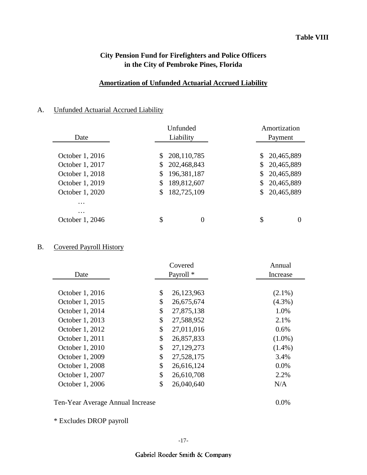#### **Amortization of Unfunded Actuarial Accrued Liability**

## A. Unfunded Actuarial Accrued Liability

|                 |           | Unfunded    | Amortization |  |  |
|-----------------|-----------|-------------|--------------|--|--|
| Date            | Liability |             | Payment      |  |  |
|                 |           |             |              |  |  |
| October 1, 2016 | \$        | 208,110,785 | \$20,465,889 |  |  |
| October 1, 2017 | \$        | 202,468,843 | 20,465,889   |  |  |
| October 1, 2018 | \$        | 196,381,187 | 20,465,889   |  |  |
| October 1, 2019 | \$        | 189,812,607 | 20,465,889   |  |  |
| October 1, 2020 | \$        | 182,725,109 | 20,465,889   |  |  |
| .               |           |             |              |  |  |
| $\cdots$        |           |             |              |  |  |
| October 1, 2046 | \$        | 0           | \$           |  |  |

# B. Covered Payroll History

|                 | Covered              | Annual    |
|-----------------|----------------------|-----------|
| Date            | Payroll <sup>*</sup> | Increase  |
|                 |                      |           |
| October 1, 2016 | \$<br>26,123,963     | $(2.1\%)$ |
| October 1, 2015 | \$<br>26,675,674     | $(4.3\%)$ |
| October 1, 2014 | \$<br>27,875,138     | 1.0%      |
| October 1, 2013 | \$<br>27,588,952     | 2.1%      |
| October 1, 2012 | \$<br>27,011,016     | 0.6%      |
| October 1, 2011 | \$<br>26,857,833     | $(1.0\%)$ |
| October 1, 2010 | \$<br>27,129,273     | $(1.4\%)$ |
| October 1, 2009 | \$<br>27,528,175     | 3.4%      |
| October 1, 2008 | \$<br>26,616,124     | 0.0%      |
| October 1, 2007 | \$<br>26,610,708     | 2.2%      |
| October 1, 2006 | \$<br>26,040,640     | N/A       |

Ten-Year Average Annual Increase 0.0%

\* Excludes DROP payroll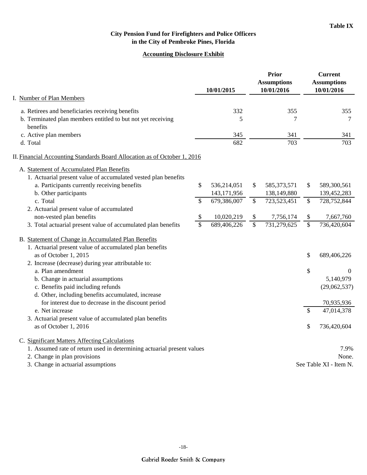## **Accounting Disclosure Exhibit**

|                                                                           |                    | 10/01/2015    |                           | <b>Prior</b><br><b>Assumptions</b><br>10/01/2016 |                           | <b>Current</b><br><b>Assumptions</b><br>10/01/2016 |
|---------------------------------------------------------------------------|--------------------|---------------|---------------------------|--------------------------------------------------|---------------------------|----------------------------------------------------|
| I. Number of Plan Members                                                 |                    |               |                           |                                                  |                           |                                                    |
| a. Retirees and beneficiaries receiving benefits                          |                    | 332           |                           | 355                                              |                           | 355                                                |
| b. Terminated plan members entitled to but not yet receiving<br>benefits  |                    | 5             |                           | 7                                                |                           | 7                                                  |
| c. Active plan members                                                    |                    | 345           |                           | 341                                              |                           | 341                                                |
| d. Total                                                                  |                    | 682           |                           | 703                                              |                           | 703                                                |
| II. Financial Accounting Standards Board Allocation as of October 1, 2016 |                    |               |                           |                                                  |                           |                                                    |
| A. Statement of Accumulated Plan Benefits                                 |                    |               |                           |                                                  |                           |                                                    |
| 1. Actuarial present value of accumulated vested plan benefits            |                    |               |                           |                                                  |                           |                                                    |
| a. Participants currently receiving benefits                              | \$                 | 536,214,051   | \$                        | 585, 373, 571                                    | \$                        | 589,300,561                                        |
| b. Other participants                                                     |                    | 143, 171, 956 |                           | 138,149,880                                      |                           | 139,452,283                                        |
| c. Total                                                                  | \$                 | 679,386,007   | $\boldsymbol{\mathsf{S}}$ | 723,523,451                                      | $\boldsymbol{\mathsf{S}}$ | 728,752,844                                        |
| 2. Actuarial present value of accumulated                                 |                    |               |                           |                                                  |                           |                                                    |
| non-vested plan benefits                                                  | \$                 | 10,020,219    | \$                        | 7,756,174                                        | \$                        | 7,667,760                                          |
| 3. Total actuarial present value of accumulated plan benefits             | $\mathbf{\hat{S}}$ | 689,406,226   | $\overline{\mathcal{S}}$  | 731,279,625                                      | $\overline{\mathcal{S}}$  | 736,420,604                                        |
| B. Statement of Change in Accumulated Plan Benefits                       |                    |               |                           |                                                  |                           |                                                    |
| 1. Actuarial present value of accumulated plan benefits                   |                    |               |                           |                                                  |                           |                                                    |
| as of October 1, 2015                                                     |                    |               |                           |                                                  | \$                        | 689,406,226                                        |
| 2. Increase (decrease) during year attributable to:                       |                    |               |                           |                                                  |                           |                                                    |
| a. Plan amendment                                                         |                    |               |                           |                                                  | \$                        | $\mathbf{0}$                                       |
| b. Change in actuarial assumptions                                        |                    |               |                           |                                                  |                           | 5,140,979                                          |
| c. Benefits paid including refunds                                        |                    |               |                           |                                                  |                           | (29,062,537)                                       |
| d. Other, including benefits accumulated, increase                        |                    |               |                           |                                                  |                           |                                                    |
| for interest due to decrease in the discount period                       |                    |               |                           |                                                  |                           | 70,935,936                                         |
| e. Net increase                                                           |                    |               |                           |                                                  | \$                        | 47,014,378                                         |
| 3. Actuarial present value of accumulated plan benefits                   |                    |               |                           |                                                  |                           |                                                    |
| as of October 1, 2016                                                     |                    |               |                           |                                                  | \$                        | 736,420,604                                        |
| C. Significant Matters Affecting Calculations                             |                    |               |                           |                                                  |                           |                                                    |
| 1. Assumed rate of return used in determining actuarial present values    |                    |               |                           |                                                  |                           | 7.9%                                               |
| 2. Change in plan provisions                                              |                    |               |                           |                                                  |                           | None.                                              |
| 3. Change in actuarial assumptions                                        |                    |               |                           |                                                  |                           | See Table XI - Item N.                             |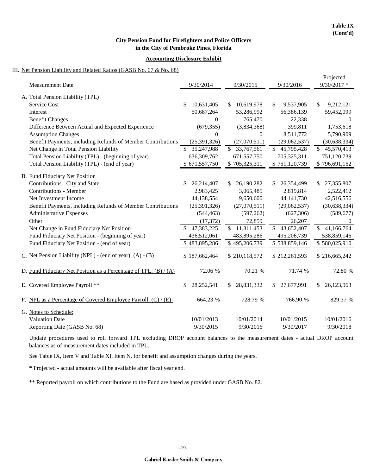#### **Accounting Disclosure Exhibit**

#### III. Net Pension Liability and Related Ratios (GASB No. 67 & No. 68)

| <b>Measurement Date</b>                                            | 9/30/2014        | 9/30/2015        | 9/30/2016                   | Projected<br>$9/30/2017$ * |
|--------------------------------------------------------------------|------------------|------------------|-----------------------------|----------------------------|
| A. Total Pension Liability (TPL)                                   |                  |                  |                             |                            |
| Service Cost                                                       | 10,631,405<br>\$ | 10,619,978<br>S. | $\mathbb{S}$<br>9,537,905   | \$<br>9,212,121            |
| Interest                                                           | 50,687,264       | 53,286,992       | 56,386,139                  | 59,452,099                 |
| <b>Benefit Changes</b>                                             | 0                | 765,470          | 22,338                      | $\Omega$                   |
| Difference Between Actual and Expected Experience                  | (679, 355)       | (3,834,368)      | 399,811                     | 1,753,618                  |
| <b>Assumption Changes</b>                                          | $\Omega$         | $\overline{0}$   | 8,511,772                   | 5,790,909                  |
| Benefit Payments, including Refunds of Member Contributions        | (25, 391, 326)   | (27,070,511)     | (29,062,537)                | (30, 638, 334)             |
| Net Change in Total Pension Liability                              | \$<br>35,247,988 | \$ 33,767,561    | $\mathsf{\$}$<br>45,795,428 | $\mathbb{S}$<br>45,570,413 |
| Total Pension Liability (TPL) - (beginning of year)                | 636, 309, 762    | 671,557,750      | 705,325,311                 | 751,120,739                |
| Total Pension Liability (TPL) - (end of year)                      | \$671,557,750    | \$705,325,311    | \$751,120,739               | \$796,691,152              |
| B. Fund Fiduciary Net Position                                     |                  |                  |                             |                            |
| Contributions - City and State                                     | 26,214,407       | 26,190,282<br>\$ | 26,354,499<br>S.            | 27,355,807<br>S.           |
| <b>Contributions - Member</b>                                      | 2,983,425        | 3,065,485        | 2,819,814                   | 2,522,412                  |
| Net Investment Income                                              | 44,138,554       | 9,650,600        | 44, 141, 730                | 42,516,556                 |
| Benefit Payments, including Refunds of Member Contributions        | (25, 391, 326)   | (27,070,511)     | (29,062,537)                | (30, 638, 334)             |
| <b>Administrative Expenses</b>                                     | (544, 463)       | (597, 262)       | (627, 306)                  | (589, 677)                 |
| Other                                                              | (17, 372)        | 72,859           | 26,207                      | $\Omega$                   |
| Net Change in Fund Fiduciary Net Position                          | 47,383,225       | \$11,311,453     | $\mathbb{S}$<br>43,652,407  | \$41,166,764               |
| Fund Fiduciary Net Position - (beginning of year)                  | 436,512,061      | 483,895,286      | 495,206,739                 | 538,859,146                |
| Fund Fiduciary Net Position - (end of year)                        | \$483,895,286    | \$495,206,739    | \$538,859,146               | \$580,025,910              |
| C. Net Pension Liability (NPL) - (end of year): $(A) - (B)$        | \$187,662,464    | \$210,118,572    | \$212,261,593               | \$216,665,242              |
| D. Fund Fiduciary Net Position as a Percentage of TPL: $(B) / (A)$ | 72.06 %          | 70.21 %          | 71.74 %                     | 72.80 %                    |
| E. Covered Employee Payroll **                                     | \$<br>28,252,541 | 28,831,332<br>S. | 27,677,991<br>\$.           | 26,123,963<br>\$.          |
| F. NPL as a Percentage of Covered Employee Payroll: $(C) / (E)$    | 664.23 %         | 728.79 %         | 766.90 %                    | 829.37 %                   |
| G. Notes to Schedule:                                              |                  |                  |                             |                            |
| <b>Valuation Date</b>                                              | 10/01/2013       | 10/01/2014       | 10/01/2015                  | 10/01/2016                 |
| Reporting Date (GASB No. 68)                                       | 9/30/2015        | 9/30/2016        | 9/30/2017                   | 9/30/2018                  |
|                                                                    |                  |                  |                             |                            |

Update procedures used to roll forward TPL excluding DROP account balances to the measurement dates - actual DROP account balances as of measurement dates included in TPL.

See Table IX, Item V and Table XI, Item N. for benefit and assumption changes during the years.

\* Projected - actual amounts will be available after fiscal year end.

\*\* Reported payroll on which contributions to the Fund are based as provided under GASB No. 82.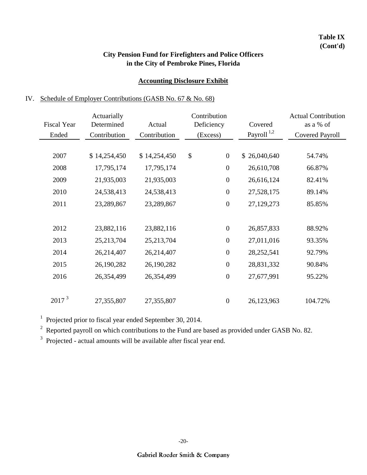# **City Pension Fund for Firefighters and Police Officers in the City of Pembroke Pines, Florida**

# **Accounting Disclosure Exhibit**

# IV. Schedule of Employer Contributions (GASB No. 67 & No. 68)

| <b>Fiscal Year</b><br>Ended | Actuarially<br>Determined<br>Contribution | Actual<br>Contribution | Contribution<br>Deficiency<br>(Excess) | Covered<br>Payroll <sup>1,2</sup> | <b>Actual Contribution</b><br>as a % of<br><b>Covered Payroll</b> |
|-----------------------------|-------------------------------------------|------------------------|----------------------------------------|-----------------------------------|-------------------------------------------------------------------|
|                             |                                           |                        |                                        |                                   |                                                                   |
| 2007                        | \$14,254,450                              | \$14,254,450           | \$<br>$\boldsymbol{0}$                 | \$26,040,640                      | 54.74%                                                            |
| 2008                        | 17,795,174                                | 17,795,174             | $\boldsymbol{0}$                       | 26,610,708                        | 66.87%                                                            |
| 2009                        | 21,935,003                                | 21,935,003             | $\boldsymbol{0}$                       | 26,616,124                        | 82.41%                                                            |
| 2010                        | 24,538,413                                | 24,538,413             | $\boldsymbol{0}$                       | 27,528,175                        | 89.14%                                                            |
| 2011                        | 23,289,867                                | 23,289,867             | $\boldsymbol{0}$                       | 27,129,273                        | 85.85%                                                            |
|                             |                                           |                        |                                        |                                   |                                                                   |
| 2012                        | 23,882,116                                | 23,882,116             | $\boldsymbol{0}$                       | 26,857,833                        | 88.92%                                                            |
| 2013                        | 25,213,704                                | 25, 213, 704           | $\boldsymbol{0}$                       | 27,011,016                        | 93.35%                                                            |
| 2014                        | 26,214,407                                | 26,214,407             | $\boldsymbol{0}$                       | 28,252,541                        | 92.79%                                                            |
| 2015                        | 26,190,282                                | 26,190,282             | $\boldsymbol{0}$                       | 28,831,332                        | 90.84%                                                            |
| 2016                        | 26,354,499                                | 26,354,499             | $\boldsymbol{0}$                       | 27,677,991                        | 95.22%                                                            |
|                             |                                           |                        |                                        |                                   |                                                                   |
| 2017 <sup>3</sup>           | 27,355,807                                | 27,355,807             | $\boldsymbol{0}$                       | 26,123,963                        | 104.72%                                                           |

<sup>1</sup> Projected prior to fiscal year ended September 30, 2014.

 $2^2$  Reported payroll on which contributions to the Fund are based as provided under GASB No. 82.

 $3$  Projected - actual amounts will be available after fiscal year end.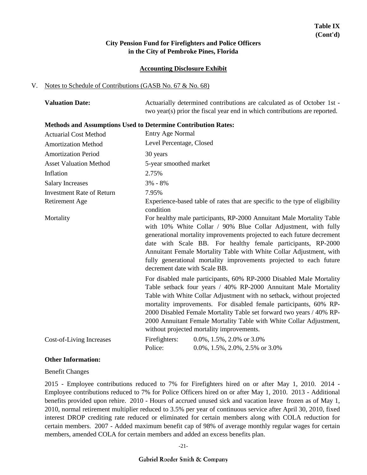#### **Accounting Disclosure Exhibit**

#### V. Notes to Schedule of Contributions (GASB No. 67 & No. 68)

| <b>Valuation Date:</b> | Actuarially determined contributions are calculated as of October 1st -    |
|------------------------|----------------------------------------------------------------------------|
|                        | two year(s) prior the fiscal year end in which contributions are reported. |

| <b>Methods and Assumptions Used to Determine Contribution Rates:</b> |                               |                                                                                                                                                                                                                                                                                                                                                                                                                                                                                  |
|----------------------------------------------------------------------|-------------------------------|----------------------------------------------------------------------------------------------------------------------------------------------------------------------------------------------------------------------------------------------------------------------------------------------------------------------------------------------------------------------------------------------------------------------------------------------------------------------------------|
| <b>Actuarial Cost Method</b>                                         | <b>Entry Age Normal</b>       |                                                                                                                                                                                                                                                                                                                                                                                                                                                                                  |
| <b>Amortization Method</b>                                           | Level Percentage, Closed      |                                                                                                                                                                                                                                                                                                                                                                                                                                                                                  |
| <b>Amortization Period</b>                                           | 30 years                      |                                                                                                                                                                                                                                                                                                                                                                                                                                                                                  |
| <b>Asset Valuation Method</b>                                        | 5-year smoothed market        |                                                                                                                                                                                                                                                                                                                                                                                                                                                                                  |
| Inflation                                                            | 2.75%                         |                                                                                                                                                                                                                                                                                                                                                                                                                                                                                  |
| <b>Salary Increases</b>                                              | $3\% - 8\%$                   |                                                                                                                                                                                                                                                                                                                                                                                                                                                                                  |
| <b>Investment Rate of Return</b>                                     | 7.95%                         |                                                                                                                                                                                                                                                                                                                                                                                                                                                                                  |
| Retirement Age                                                       | condition                     | Experience-based table of rates that are specific to the type of eligibility                                                                                                                                                                                                                                                                                                                                                                                                     |
| Mortality                                                            | decrement date with Scale BB. | For healthy male participants, RP-2000 Annuitant Male Mortality Table<br>with 10% White Collar / 90% Blue Collar Adjustment, with fully<br>generational mortality improvements projected to each future decrement<br>date with Scale BB. For healthy female participants, RP-2000<br>Annuitant Female Mortality Table with White Collar Adjustment, with<br>fully generational mortality improvements projected to each future                                                   |
|                                                                      |                               | For disabled male participants, 60% RP-2000 Disabled Male Mortality<br>Table setback four years / 40% RP-2000 Annuitant Male Mortality<br>Table with White Collar Adjustment with no setback, without projected<br>mortality improvements. For disabled female participants, 60% RP-<br>2000 Disabled Female Mortality Table set forward two years / 40% RP-<br>2000 Annuitant Female Mortality Table with White Collar Adjustment,<br>without projected mortality improvements. |
| Cost-of-Living Increases                                             | Firefighters:<br>Police:      | 0.0%, 1.5%, 2.0% or $3.0\%$<br>0.0%, 1.5%, 2.0%, 2.5% or 3.0%                                                                                                                                                                                                                                                                                                                                                                                                                    |

# **Methods and Assumptions Used to Determine Contribution Rates:**

#### **Other Information:**

Benefit Changes

2015 - Employee contributions reduced to 7% for Firefighters hired on or after May 1, 2010. 2014 - Employee contributions reduced to 7% for Police Officers hired on or after May 1, 2010. 2013 - Additional benefits provided upon rehire. 2010 - Hours of accrued unused sick and vacation leave frozen as of May 1, 2010, normal retirement multiplier reduced to 3.5% per year of continuous service after April 30, 2010, fixed interest DROP crediting rate reduced or eliminated for certain members along with COLA reduction for certain members. 2007 - Added maximum benefit cap of 98% of average monthly regular wages for certain members, amended COLA for certain members and added an excess benefits plan.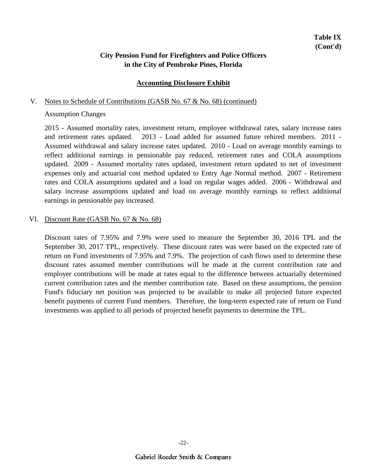## **Accounting Disclosure Exhibit**

#### V. Notes to Schedule of Contributions (GASB No. 67 & No. 68) (continued)

#### Assumption Changes

2015 - Assumed mortality rates, investment return, employee withdrawal rates, salary increase rates and retirement rates updated. 2013 - Load added for assumed future rehired members. 2011 - Assumed withdrawal and salary increase rates updated. 2010 - Load on average monthly earnings to reflect additional earnings in pensionable pay reduced, retirement rates and COLA assumptions updated. 2009 - Assumed mortality rates updated, investment return updated to net of investment expenses only and actuarial cost method updated to Entry Age Normal method. 2007 - Retirement rates and COLA assumptions updated and a load on regular wages added. 2006 - Withdrawal and salary increase assumptions updated and load on average monthly earnings to reflect additional earnings in pensionable pay increased.

#### VI. Discount Rate (GASB No. 67 & No. 68)

Discount rates of 7.95% and 7.9% were used to measure the September 30, 2016 TPL and the September 30, 2017 TPL, respectively. These discount rates was were based on the expected rate of return on Fund investments of 7.95% and 7.9%. The projection of cash flows used to determine these discount rates assumed member contributions will be made at the current contribution rate and employer contributions will be made at rates equal to the difference between actuarially determined current contribution rates and the member contribution rate. Based on these assumptions, the pension Fund's fiduciary net position was projected to be available to make all projected future expected benefit payments of current Fund members. Therefore, the long-term expected rate of return on Fund investments was applied to all periods of projected benefit payments to determine the TPL.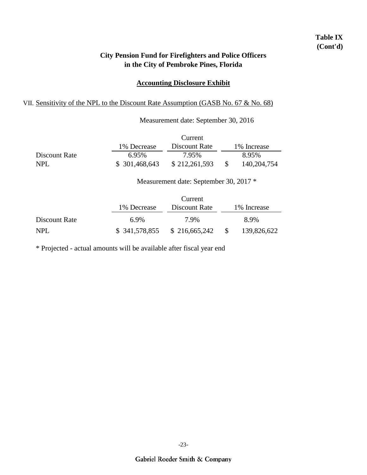# **City Pension Fund for Firefighters and Police Officers in the City of Pembroke Pines, Florida**

#### **Accounting Disclosure Exhibit**

# VII. Sensitivity of the NPL to the Discount Rate Assumption (GASB No. 67 & No. 68)

| Measurement date: September 30, 2016 |                        |               |                      |              |
|--------------------------------------|------------------------|---------------|----------------------|--------------|
|                                      | Current                |               |                      |              |
| 6.95%<br>\$ 301,468,643              | 7.95%<br>\$212,261,593 | $\mathbb{S}$  | 8.95%<br>140,204,754 |              |
|                                      | 1% Decrease            | Discount Rate |                      | 1\% Increase |

# Measurement date: September 30, 2017 \*

|               | Current       |               |     |              |  |
|---------------|---------------|---------------|-----|--------------|--|
|               | 1\% Decrease  | Discount Rate |     | 1\% Increase |  |
| Discount Rate | $6.9\%$       | 7.9%          |     | 8.9%         |  |
| NPL           | \$341,578,855 | \$216,665,242 | -SS | 139,826,622  |  |

\* Projected - actual amounts will be available after fiscal year end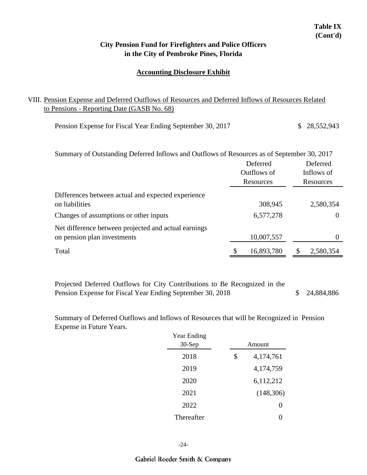# **in the City of Pembroke Pines, Florida City Pension Fund for Firefighters and Police Officers**

#### **Accounting Disclosure Exhibit**

# VIII. Pension Expense and Deferred Outflows of Resources and Deferred Inflows of Resources Related to Pensions - Reporting Date (GASB No. 68)

Differences between actual and expected experience

|  | Pension Expense for Fiscal Year Ending September 30, 2017 | \$28,552,943 |  |
|--|-----------------------------------------------------------|--------------|--|
|--|-----------------------------------------------------------|--------------|--|

| Summary of Outstanding Deferred Inflows and Outflows of Resources as of September 30, 2017 |                 |            |  |  |
|--------------------------------------------------------------------------------------------|-----------------|------------|--|--|
|                                                                                            | <b>Deferred</b> | Deferred   |  |  |
|                                                                                            | Outflows of     | Inflows of |  |  |
|                                                                                            | Resources       | Resources  |  |  |

| on liabilities                                       | 308,945    | 2,580,354 |
|------------------------------------------------------|------------|-----------|
| Changes of assumptions or other inputs               | 6,577,278  |           |
| Net difference between projected and actual earnings |            |           |
| on pension plan investments                          | 10,007,557 |           |
| Total                                                | 16,893,780 | 2,580,354 |
|                                                      |            |           |

 \$ 24,884,886 Projected Deferred Outflows for City Contributions to Be Recognized in the Pension Expense for Fiscal Year Ending September 30, 2018

Summary of Deferred Outflows and Inflows of Resources that will be Recognized in Pension Expense in Future Years.

| <b>Year Ending</b><br>30-Sep | Amount          |
|------------------------------|-----------------|
| 2018                         | \$<br>4,174,761 |
| 2019                         | 4,174,759       |
| 2020                         | 6,112,212       |
| 2021                         | (148, 306)      |
| 2022                         |                 |
| Thereafter                   |                 |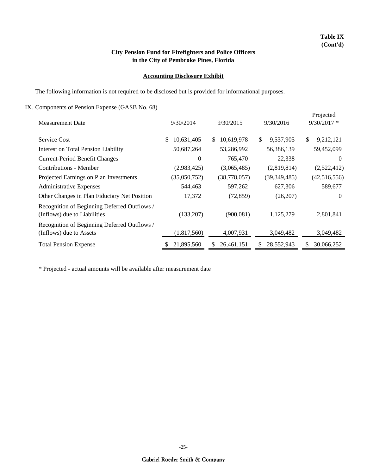#### **in the City of Pembroke Pines, Florida City Pension Fund for Firefighters and Police Officers**

#### **Accounting Disclosure Exhibit**

The following information is not required to be disclosed but is provided for informational purposes.

#### IX. Components of Pension Expense (GASB No. 68)

| <b>Measurement Date</b>                                                      | 9/30/2014        | 9/30/2015         | 9/30/2016       | Projected<br>$9/30/2017$ * |
|------------------------------------------------------------------------------|------------------|-------------------|-----------------|----------------------------|
|                                                                              |                  |                   |                 |                            |
| <b>Service Cost</b>                                                          | 10,631,405<br>\$ | 10,619,978<br>\$. | \$<br>9,537,905 | \$<br>9,212,121            |
| Interest on Total Pension Liability                                          | 50,687,264       | 53,286,992        | 56,386,139      | 59,452,099                 |
| <b>Current-Period Benefit Changes</b>                                        | $\theta$         | 765,470           | 22,338          | $\Omega$                   |
| Contributions - Member                                                       | (2,983,425)      | (3,065,485)       | (2,819,814)     | (2,522,412)                |
| Projected Earnings on Plan Investments                                       | (35,050,752)     | (38, 778, 057)    | (39, 349, 485)  | (42,516,556)               |
| <b>Administrative Expenses</b>                                               | 544,463          | 597,262           | 627,306         | 589,677                    |
| Other Changes in Plan Fiduciary Net Position                                 | 17,372           | (72, 859)         | (26,207)        | $\Omega$                   |
| Recognition of Beginning Deferred Outflows /<br>(Inflows) due to Liabilities | (133,207)        | (900, 081)        | 1,125,279       | 2,801,841                  |
| Recognition of Beginning Deferred Outflows /<br>(Inflows) due to Assets      | (1,817,560)      | 4,007,931         | 3,049,482       | 3,049,482                  |
| <b>Total Pension Expense</b>                                                 | 21,895,560       | 26,461,151<br>S   | 28,552,943<br>S | 30,066,252<br>Ж            |

\* Projected - actual amounts will be available after measurement date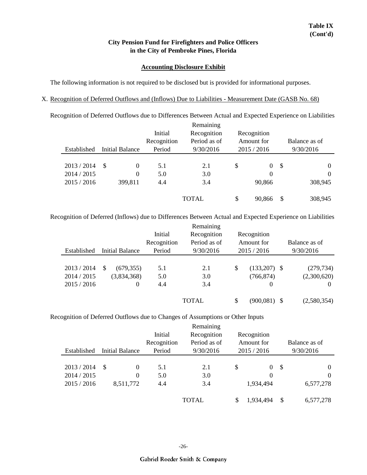#### **Accounting Disclosure Exhibit**

The following information is not required to be disclosed but is provided for informational purposes.

#### X. Recognition of Deferred Outflows and (Inflows) Due to Liabilities - Measurement Date (GASB No. 68)

Recognition of Deferred Outflows due to Differences Between Actual and Expected Experience on Liabilities

| Established                             |               | <b>Initial Balance</b>   | Initial<br>Recognition<br>Period | Remaining<br>Recognition<br>Period as of<br>9/30/2016 | Recognition<br>Amount for<br>2015 / 2016 |                            | Balance as of<br>9/30/2016 |
|-----------------------------------------|---------------|--------------------------|----------------------------------|-------------------------------------------------------|------------------------------------------|----------------------------|----------------------------|
| 2013 / 2014<br>2014 / 2015<br>2015/2016 | <sup>\$</sup> | $\Omega$<br>0<br>399,811 | 5.1<br>5.0<br>4.4                | 2.1<br>3.0<br>3.4                                     | \$<br>$\Omega$<br>$\Omega$<br>90,866     | $\boldsymbol{\mathcal{S}}$ | $\Omega$<br>0<br>308,945   |
|                                         |               |                          |                                  | TOTAL                                                 | \$<br>90,866                             | S                          | 308,945                    |

Recognition of Deferred (Inflows) due to Differences Between Actual and Expected Experience on Liabilities

|             |                   |             | Remaining    |                      |               |
|-------------|-------------------|-------------|--------------|----------------------|---------------|
|             |                   | Initial     | Recognition  | Recognition          |               |
|             |                   | Recognition | Period as of | Amount for           | Balance as of |
| Established | Initial Balance   | Period      | 9/30/2016    | 2015 / 2016          | 9/30/2016     |
|             |                   |             |              |                      |               |
| 2013 / 2014 | \$.<br>(679, 355) | 5.1         | 2.1          | \$<br>$(133,207)$ \$ | (279, 734)    |
| 2014 / 2015 | (3,834,368)       | 5.0         | 3.0          | (766, 874)           | (2,300,620)   |
| 2015 / 2016 | $\Omega$          | 4.4         | 3.4          | 0                    |               |
|             |                   |             | TOTAL        | \$<br>(900,081) \$   | (2,580,354)   |

Recognition of Deferred Outflows due to Changes of Assumptions or Other Inputs

| Established                             | <b>Initial Balance</b>                             | Initial<br>Recognition<br>Period | Remaining<br>Recognition<br>Period as of<br>9/30/2016 | Recognition<br>Amount for<br>2015/2016  |    | Balance as of<br>9/30/2016        |
|-----------------------------------------|----------------------------------------------------|----------------------------------|-------------------------------------------------------|-----------------------------------------|----|-----------------------------------|
| 2013/2014<br>2014 / 2015<br>2015 / 2016 | <sup>\$</sup><br>$\theta$<br>$\Omega$<br>8,511,772 | 5.1<br>5.0<br>4.4                | 2.1<br>3.0<br>3.4                                     | \$<br>$\theta$<br>$\Omega$<br>1,934,494 | \$ | $\Omega$<br>$\Omega$<br>6,577,278 |
|                                         |                                                    |                                  | TOTAL                                                 | \$<br>1,934,494                         | -S | 6,577,278                         |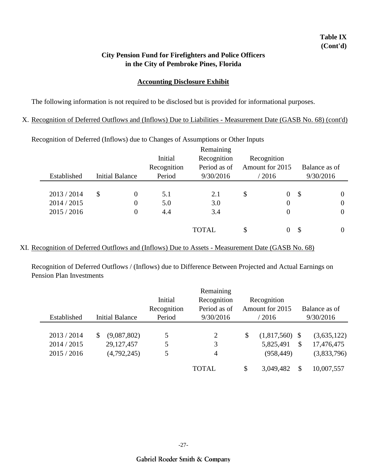## **in the City of Pembroke Pines, Florida City Pension Fund for Firefighters and Police Officers**

## **Accounting Disclosure Exhibit**

The following information is not required to be disclosed but is provided for informational purposes.

#### X. Recognition of Deferred Outflows and (Inflows) Due to Liabilities - Measurement Date (GASB No. 68) (cont'd)

|             |                        | Initial     | Remaining<br>Recognition |               | Recognition      |              |               |
|-------------|------------------------|-------------|--------------------------|---------------|------------------|--------------|---------------|
|             |                        | Recognition | Period as of             |               | Amount for 2015  |              | Balance as of |
| Established | <b>Initial Balance</b> | Period      | 9/30/2016                |               | /2016            |              | 9/30/2016     |
|             |                        |             |                          |               |                  |              |               |
| 2013/2014   | \$<br>$\boldsymbol{0}$ | 5.1         | 2.1                      | \$            | $\Omega$         | $\mathbb{S}$ | 0             |
| 2014 / 2015 | $\boldsymbol{0}$       | 5.0         | 3.0                      |               | $\boldsymbol{0}$ |              | $\theta$      |
| 2015/2016   | $\boldsymbol{0}$       | 4.4         | 3.4                      |               | $\boldsymbol{0}$ |              | $\theta$      |
|             |                        |             |                          |               |                  |              |               |
|             |                        |             | <b>TOTAL</b>             | $\mathcal{S}$ | $\Omega$         | -S           | $\theta$      |

Recognition of Deferred (Inflows) due to Changes of Assumptions or Other Inputs

## XI. Recognition of Deferred Outflows and (Inflows) Due to Assets - Measurement Date (GASB No. 68)

Recognition of Deferred Outflows / (Inflows) due to Difference Between Projected and Actual Earnings on Pension Plan Investments

|             |                        |             | Remaining    |                        |     |               |
|-------------|------------------------|-------------|--------------|------------------------|-----|---------------|
|             |                        | Initial     | Recognition  | Recognition            |     |               |
|             |                        | Recognition | Period as of | Amount for 2015        |     | Balance as of |
| Established | <b>Initial Balance</b> | Period      | 9/30/2016    | /2016                  |     | 9/30/2016     |
|             |                        |             |              |                        |     |               |
| 2013 / 2014 | \$<br>(9,087,802)      | 5           | 2            | \$<br>$(1,817,560)$ \$ |     | (3,635,122)   |
| 2014 / 2015 | 29,127,457             | 5           | 3            | 5,825,491              | \$. | 17,476,475    |
| 2015/2016   | (4,792,245)            | 5           | 4            | (958, 449)             |     | (3,833,796)   |
|             |                        |             |              |                        |     |               |
|             |                        |             | TOTAL        | \$<br>3,049,482        | S   | 10,007,557    |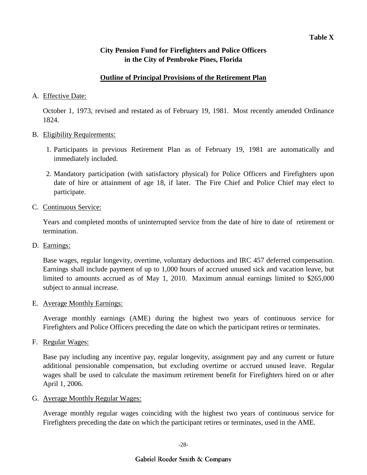# **Outline of Principal Provisions of the Retirement Plan**

## A. Effective Date:

October 1, 1973, revised and restated as of February 19, 1981. Most recently amended Ordinance 1824.

- B. Eligibility Requirements:
	- 1. Participants in previous Retirement Plan as of February 19, 1981 are automatically and immediately included.
	- 2. Mandatory participation (with satisfactory physical) for Police Officers and Firefighters upon date of hire or attainment of age 18, if later. The Fire Chief and Police Chief may elect to participate.
- C. Continuous Service:

Years and completed months of uninterrupted service from the date of hire to date of retirement or termination.

D. Earnings:

Base wages, regular longevity, overtime, voluntary deductions and IRC 457 deferred compensation. Earnings shall include payment of up to 1,000 hours of accrued unused sick and vacation leave, but limited to amounts accrued as of May 1, 2010. Maximum annual earnings limited to \$265,000 subject to annual increase.

E. Average Monthly Earnings:

Average monthly earnings (AME) during the highest two years of continuous service for Firefighters and Police Officers preceding the date on which the participant retires or terminates.

F. Regular Wages:

Base pay including any incentive pay, regular longevity, assignment pay and any current or future additional pensionable compensation, but excluding overtime or accrued unused leave. Regular wages shall be used to calculate the maximum retirement benefit for Firefighters hired on or after April 1, 2006.

G. Average Monthly Regular Wages:

Average monthly regular wages coinciding with the highest two years of continuous service for Firefighters preceding the date on which the participant retires or terminates, used in the AME.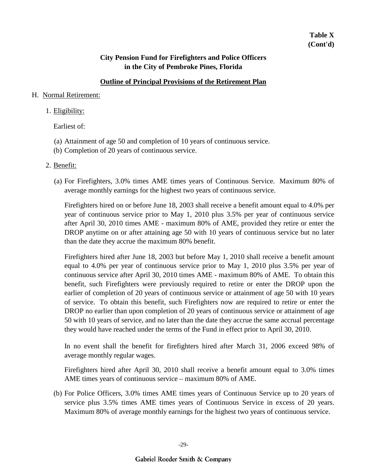## **Outline of Principal Provisions of the Retirement Plan**

#### H. Normal Retirement:

#### 1. Eligibility:

Earliest of:

- (a) Attainment of age 50 and completion of 10 years of continuous service.
- (b) Completion of 20 years of continuous service.

#### 2. Benefit:

(a) For Firefighters, 3.0% times AME times years of Continuous Service. Maximum 80% of average monthly earnings for the highest two years of continuous service.

Firefighters hired on or before June 18, 2003 shall receive a benefit amount equal to 4.0% per year of continuous service prior to May 1, 2010 plus 3.5% per year of continuous service after April 30, 2010 times AME - maximum 80% of AME, provided they retire or enter the DROP anytime on or after attaining age 50 with 10 years of continuous service but no later than the date they accrue the maximum 80% benefit.

Firefighters hired after June 18, 2003 but before May 1, 2010 shall receive a benefit amount equal to 4.0% per year of continuous service prior to May 1, 2010 plus 3.5% per year of continuous service after April 30, 2010 times AME - maximum 80% of AME. To obtain this benefit, such Firefighters were previously required to retire or enter the DROP upon the earlier of completion of 20 years of continuous service or attainment of age 50 with 10 years of service. To obtain this benefit, such Firefighters now are required to retire or enter the DROP no earlier than upon completion of 20 years of continuous service or attainment of age 50 with 10 years of service, and no later than the date they accrue the same accrual percentage they would have reached under the terms of the Fund in effect prior to April 30, 2010.

In no event shall the benefit for firefighters hired after March 31, 2006 exceed 98% of average monthly regular wages.

Firefighters hired after April 30, 2010 shall receive a benefit amount equal to 3.0% times AME times years of continuous service – maximum 80% of AME.

(b) For Police Officers, 3.0% times AME times years of Continuous Service up to 20 years of service plus 3.5% times AME times years of Continuous Service in excess of 20 years. Maximum 80% of average monthly earnings for the highest two years of continuous service.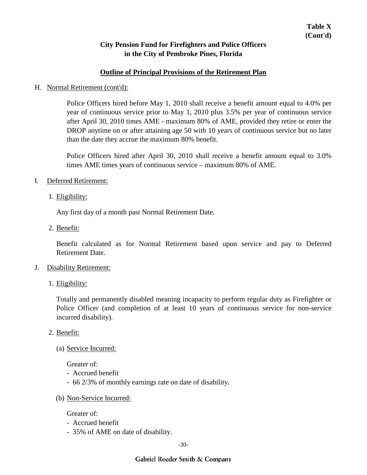#### **Outline of Principal Provisions of the Retirement Plan**

H. Normal Retirement (cont'd):

Police Officers hired before May 1, 2010 shall receive a benefit amount equal to 4.0% per year of continuous service prior to May 1, 2010 plus 3.5% per year of continuous service after April 30, 2010 times AME - maximum 80% of AME, provided they retire or enter the DROP anytime on or after attaining age 50 with 10 years of continuous service but no later than the date they accrue the maximum 80% benefit.

Police Officers hired after April 30, 2010 shall receive a benefit amount equal to 3.0% times AME times years of continuous service – maximum 80% of AME.

- I. Deferred Retirement:
	- 1. Eligibility:

Any first day of a month past Normal Retirement Date.

2. Benefit:

Benefit calculated as for Normal Retirement based upon service and pay to Deferred Retirement Date.

- J. Disability Retirement:
	- 1. Eligibility:

Totally and permanently disabled meaning incapacity to perform regular duty as Firefighter or Police Officer (and completion of at least 10 years of continuous service for non-service incurred disability).

- 2. Benefit:
	- (a) Service Incurred:

Greater of:

- Accrued benefit
- 66 2/3% of monthly earnings rate on date of disability.
- (b) Non-Service Incurred:

Greater of:

- Accrued benefit
- 35% of AME on date of disability.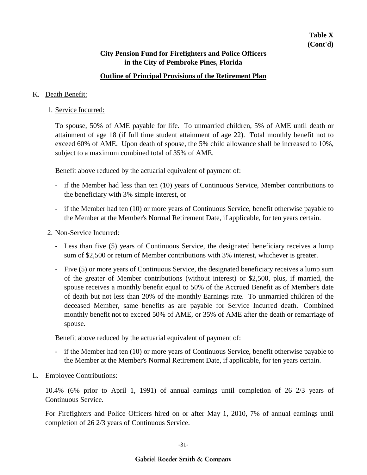# **Outline of Principal Provisions of the Retirement Plan**

#### K. Death Benefit:

1. Service Incurred:

To spouse, 50% of AME payable for life. To unmarried children, 5% of AME until death or attainment of age 18 (if full time student attainment of age 22). Total monthly benefit not to exceed 60% of AME. Upon death of spouse, the 5% child allowance shall be increased to 10%, subject to a maximum combined total of 35% of AME.

Benefit above reduced by the actuarial equivalent of payment of:

- if the Member had less than ten (10) years of Continuous Service, Member contributions to the beneficiary with 3% simple interest, or
- if the Member had ten (10) or more years of Continuous Service, benefit otherwise payable to the Member at the Member's Normal Retirement Date, if applicable, for ten years certain.
- 2. Non-Service Incurred:
	- Less than five (5) years of Continuous Service, the designated beneficiary receives a lump sum of \$2,500 or return of Member contributions with 3% interest, whichever is greater.
	- Five (5) or more years of Continuous Service, the designated beneficiary receives a lump sum of the greater of Member contributions (without interest) or \$2,500, plus, if married, the spouse receives a monthly benefit equal to 50% of the Accrued Benefit as of Member's date of death but not less than 20% of the monthly Earnings rate. To unmarried children of the deceased Member, same benefits as are payable for Service Incurred death. Combined monthly benefit not to exceed 50% of AME, or 35% of AME after the death or remarriage of spouse.

Benefit above reduced by the actuarial equivalent of payment of:

- if the Member had ten (10) or more years of Continuous Service, benefit otherwise payable to the Member at the Member's Normal Retirement Date, if applicable, for ten years certain.
- L. Employee Contributions:

10.4% (6% prior to April 1, 1991) of annual earnings until completion of 26 2/3 years of Continuous Service.

For Firefighters and Police Officers hired on or after May 1, 2010, 7% of annual earnings until completion of 26 2/3 years of Continuous Service.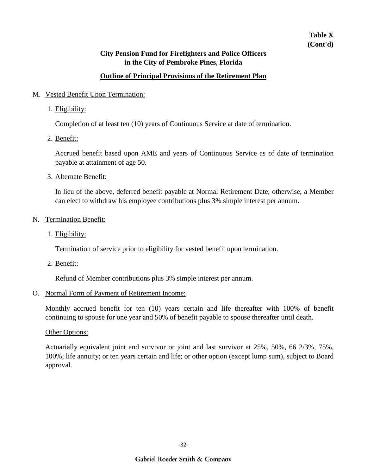# **City Pension Fund for Firefighters and Police Officers in the City of Pembroke Pines, Florida**

## **Outline of Principal Provisions of the Retirement Plan**

#### M. Vested Benefit Upon Termination:

1. Eligibility:

Completion of at least ten (10) years of Continuous Service at date of termination.

2. Benefit:

Accrued benefit based upon AME and years of Continuous Service as of date of termination payable at attainment of age 50.

3. Alternate Benefit:

In lieu of the above, deferred benefit payable at Normal Retirement Date; otherwise, a Member can elect to withdraw his employee contributions plus 3% simple interest per annum.

- N. Termination Benefit:
	- 1. Eligibility:

Termination of service prior to eligibility for vested benefit upon termination.

2. Benefit:

Refund of Member contributions plus 3% simple interest per annum.

#### O. Normal Form of Payment of Retirement Income:

Monthly accrued benefit for ten (10) years certain and life thereafter with 100% of benefit continuing to spouse for one year and 50% of benefit payable to spouse thereafter until death.

#### Other Options:

Actuarially equivalent joint and survivor or joint and last survivor at 25%, 50%, 66 2/3%, 75%, 100%; life annuity; or ten years certain and life; or other option (except lump sum), subject to Board approval.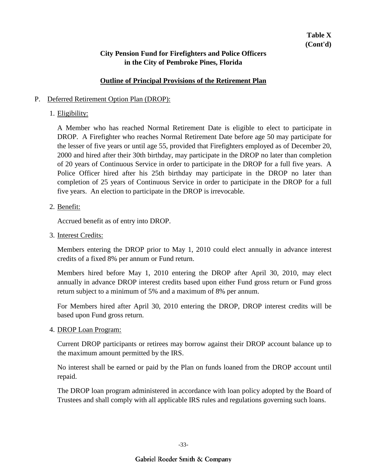#### **Outline of Principal Provisions of the Retirement Plan**

#### P. Deferred Retirement Option Plan (DROP):

## 1. Eligibility:

A Member who has reached Normal Retirement Date is eligible to elect to participate in DROP. A Firefighter who reaches Normal Retirement Date before age 50 may participate for the lesser of five years or until age 55, provided that Firefighters employed as of December 20, 2000 and hired after their 30th birthday, may participate in the DROP no later than completion of 20 years of Continuous Service in order to participate in the DROP for a full five years. A Police Officer hired after his 25th birthday may participate in the DROP no later than completion of 25 years of Continuous Service in order to participate in the DROP for a full five years. An election to participate in the DROP is irrevocable.

## 2. <u>Benefit:</u>

Accrued benefit as of entry into DROP.

3. Interest Credits:

Members entering the DROP prior to May 1, 2010 could elect annually in advance interest credits of a fixed 8% per annum or Fund return.

Members hired before May 1, 2010 entering the DROP after April 30, 2010, may elect annually in advance DROP interest credits based upon either Fund gross return or Fund gross return subject to a minimum of 5% and a maximum of 8% per annum.

For Members hired after April 30, 2010 entering the DROP, DROP interest credits will be based upon Fund gross return.

#### 4. DROP Loan Program:

Current DROP participants or retirees may borrow against their DROP account balance up to the maximum amount permitted by the IRS.

No interest shall be earned or paid by the Plan on funds loaned from the DROP account until repaid.

The DROP loan program administered in accordance with loan policy adopted by the Board of Trustees and shall comply with all applicable IRS rules and regulations governing such loans.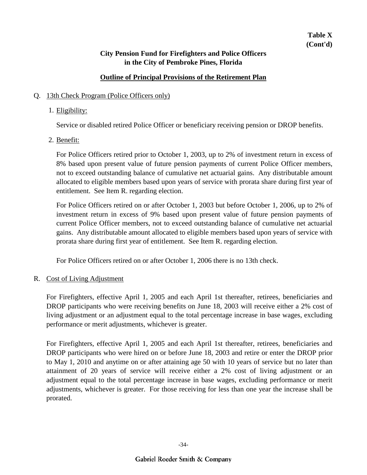# **Outline of Principal Provisions of the Retirement Plan**

## Q. 13th Check Program (Police Officers only)

# 1. Eligibility:

Service or disabled retired Police Officer or beneficiary receiving pension or DROP benefits.

# 2. <u>Benefit:</u>

For Police Officers retired prior to October 1, 2003, up to 2% of investment return in excess of 8% based upon present value of future pension payments of current Police Officer members, not to exceed outstanding balance of cumulative net actuarial gains. Any distributable amount allocated to eligible members based upon years of service with prorata share during first year of entitlement. See Item R. regarding election.

For Police Officers retired on or after October 1, 2003 but before October 1, 2006, up to 2% of investment return in excess of 9% based upon present value of future pension payments of current Police Officer members, not to exceed outstanding balance of cumulative net actuarial gains. Any distributable amount allocated to eligible members based upon years of service with prorata share during first year of entitlement. See Item R. regarding election.

For Police Officers retired on or after October 1, 2006 there is no 13th check.

## R. Cost of Living Adjustment

For Firefighters, effective April 1, 2005 and each April 1st thereafter, retirees, beneficiaries and DROP participants who were receiving benefits on June 18, 2003 will receive either a 2% cost of living adjustment or an adjustment equal to the total percentage increase in base wages, excluding performance or merit adjustments, whichever is greater.

For Firefighters, effective April 1, 2005 and each April 1st thereafter, retirees, beneficiaries and DROP participants who were hired on or before June 18, 2003 and retire or enter the DROP prior to May 1, 2010 and anytime on or after attaining age 50 with 10 years of service but no later than attainment of 20 years of service will receive either a 2% cost of living adjustment or an adjustment equal to the total percentage increase in base wages, excluding performance or merit adjustments, whichever is greater. For those receiving for less than one year the increase shall be prorated.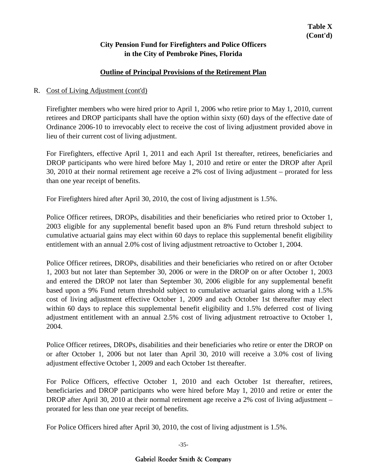## **Outline of Principal Provisions of the Retirement Plan**

## R. Cost of Living Adjustment (cont'd)

Firefighter members who were hired prior to April 1, 2006 who retire prior to May 1, 2010, current retirees and DROP participants shall have the option within sixty (60) days of the effective date of Ordinance 2006-10 to irrevocably elect to receive the cost of living adjustment provided above in lieu of their current cost of living adjustment.

For Firefighters, effective April 1, 2011 and each April 1st thereafter, retirees, beneficiaries and DROP participants who were hired before May 1, 2010 and retire or enter the DROP after April 30, 2010 at their normal retirement age receive a 2% cost of living adjustment – prorated for less than one year receipt of benefits.

For Firefighters hired after April 30, 2010, the cost of living adjustment is 1.5%.

Police Officer retirees, DROPs, disabilities and their beneficiaries who retired prior to October 1, 2003 eligible for any supplemental benefit based upon an 8% Fund return threshold subject to cumulative actuarial gains may elect within 60 days to replace this supplemental benefit eligibility entitlement with an annual 2.0% cost of living adjustment retroactive to October 1, 2004.

Police Officer retirees, DROPs, disabilities and their beneficiaries who retired on or after October 1, 2003 but not later than September 30, 2006 or were in the DROP on or after October 1, 2003 and entered the DROP not later than September 30, 2006 eligible for any supplemental benefit based upon a 9% Fund return threshold subject to cumulative actuarial gains along with a 1.5% cost of living adjustment effective October 1, 2009 and each October 1st thereafter may elect within 60 days to replace this supplemental benefit eligibility and 1.5% deferred cost of living adjustment entitlement with an annual 2.5% cost of living adjustment retroactive to October 1, 2004.

Police Officer retirees, DROPs, disabilities and their beneficiaries who retire or enter the DROP on or after October 1, 2006 but not later than April 30, 2010 will receive a 3.0% cost of living adjustment effective October 1, 2009 and each October 1st thereafter.

For Police Officers, effective October 1, 2010 and each October 1st thereafter, retirees, beneficiaries and DROP participants who were hired before May 1, 2010 and retire or enter the DROP after April 30, 2010 at their normal retirement age receive a 2% cost of living adjustment – prorated for less than one year receipt of benefits.

For Police Officers hired after April 30, 2010, the cost of living adjustment is 1.5%.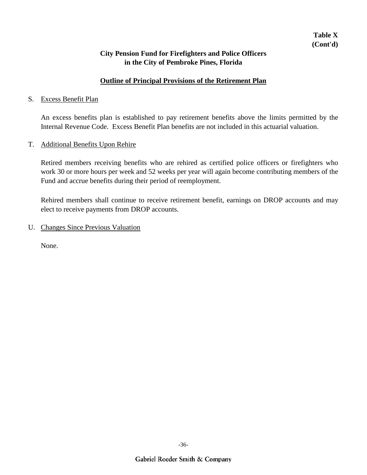## **Outline of Principal Provisions of the Retirement Plan**

#### S. Excess Benefit Plan

An excess benefits plan is established to pay retirement benefits above the limits permitted by the Internal Revenue Code. Excess Benefit Plan benefits are not included in this actuarial valuation.

#### T. Additional Benefits Upon Rehire

Retired members receiving benefits who are rehired as certified police officers or firefighters who work 30 or more hours per week and 52 weeks per year will again become contributing members of the Fund and accrue benefits during their period of reemployment.

Rehired members shall continue to receive retirement benefit, earnings on DROP accounts and may elect to receive payments from DROP accounts.

U. Changes Since Previous Valuation

None.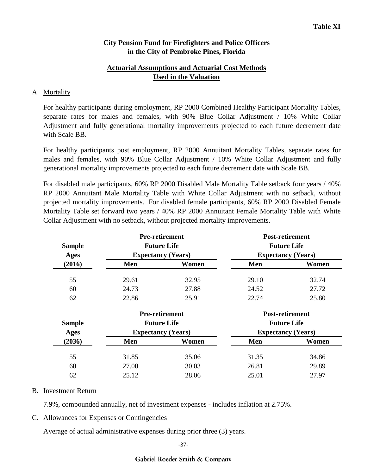# **Actuarial Assumptions and Actuarial Cost Methods Used in the Valuation**

# A. Mortality

For healthy participants during employment, RP 2000 Combined Healthy Participant Mortality Tables, separate rates for males and females, with 90% Blue Collar Adjustment / 10% White Collar Adjustment and fully generational mortality improvements projected to each future decrement date with Scale BB.

For healthy participants post employment, RP 2000 Annuitant Mortality Tables, separate rates for males and females, with 90% Blue Collar Adjustment / 10% White Collar Adjustment and fully generational mortality improvements projected to each future decrement date with Scale BB.

For disabled male participants, 60% RP 2000 Disabled Male Mortality Table setback four years / 40% RP 2000 Annuitant Male Mortality Table with White Collar Adjustment with no setback, without projected mortality improvements. For disabled female participants, 60% RP 2000 Disabled Female Mortality Table set forward two years / 40% RP 2000 Annuitant Female Mortality Table with White Collar Adjustment with no setback, without projected mortality improvements.

| <b>Sample</b><br><b>Ages</b> | <b>Pre-retirement</b><br><b>Future Life</b><br><b>Expectancy (Years)</b> |       |       | <b>Post-retirement</b><br><b>Future Life</b><br><b>Expectancy (Years)</b> |
|------------------------------|--------------------------------------------------------------------------|-------|-------|---------------------------------------------------------------------------|
| (2016)                       | Men                                                                      | Women | Men   | Women                                                                     |
| 55                           | 29.61                                                                    | 32.95 | 29.10 | 32.74                                                                     |
| 60                           | 24.73                                                                    | 27.88 | 24.52 | 27.72                                                                     |
| 62                           | 22.86                                                                    | 25.91 | 22.74 | 25.80                                                                     |

| <b>Sample</b><br><b>Ages</b> | <b>Pre-retirement</b><br><b>Future Life</b><br><b>Expectancy (Years)</b> |       |       | <b>Post-retirement</b><br><b>Future Life</b><br><b>Expectancy (Years)</b> |
|------------------------------|--------------------------------------------------------------------------|-------|-------|---------------------------------------------------------------------------|
| (2036)                       | Men                                                                      | Women | Men   | Women                                                                     |
| 55                           | 31.85                                                                    | 35.06 | 31.35 | 34.86                                                                     |
| 60                           | 27.00                                                                    | 30.03 | 26.81 | 29.89                                                                     |
| 62                           | 25.12                                                                    | 28.06 | 25.01 | 27.97                                                                     |

## B. Investment Return

7.9%, compounded annually, net of investment expenses - includes inflation at 2.75%.

#### C. Allowances for Expenses or Contingencies

Average of actual administrative expenses during prior three (3) years.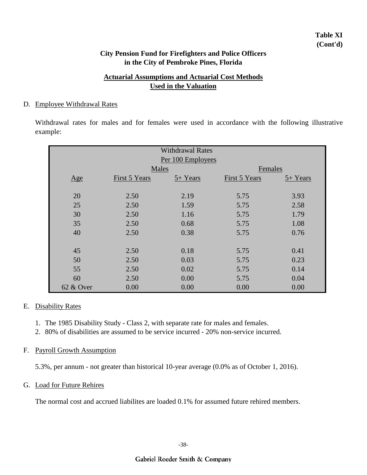# **City Pension Fund for Firefighters and Police Officers in the City of Pembroke Pines, Florida**

# **Actuarial Assumptions and Actuarial Cost Methods Used in the Valuation**

#### D. Employee Withdrawal Rates

Withdrawal rates for males and for females were used in accordance with the following illustrative example:

|                   |               | <b>Withdrawal Rates</b><br>Per 100 Employees |               |          |
|-------------------|---------------|----------------------------------------------|---------------|----------|
|                   | Males         |                                              | Females       |          |
| $\underline{Age}$ | First 5 Years | 5+ Years                                     | First 5 Years | 5+ Years |
|                   |               |                                              |               |          |
| 20                | 2.50          | 2.19                                         | 5.75          | 3.93     |
| 25                | 2.50          | 1.59                                         | 5.75          | 2.58     |
| 30                | 2.50          | 1.16                                         | 5.75          | 1.79     |
| 35                | 2.50          | 0.68                                         | 5.75          | 1.08     |
| 40                | 2.50          | 0.38                                         | 5.75          | 0.76     |
|                   |               |                                              |               |          |
| 45                | 2.50          | 0.18                                         | 5.75          | 0.41     |
| 50                | 2.50          | 0.03                                         | 5.75          | 0.23     |
| 55                | 2.50          | 0.02                                         | 5.75          | 0.14     |
| 60                | 2.50          | 0.00                                         | 5.75          | 0.04     |
| 62 & Over         | 0.00          | 0.00                                         | 0.00          | 0.00     |

#### E. Disability Rates

- 1. The 1985 Disability Study Class 2, with separate rate for males and females.
- 2. 80% of disabilities are assumed to be service incurred 20% non-service incurred.

## F. Payroll Growth Assumption

5.3%, per annum - not greater than historical 10-year average (0.0% as of October 1, 2016).

#### G. Load for Future Rehires

The normal cost and accrued liabilites are loaded 0.1% for assumed future rehired members.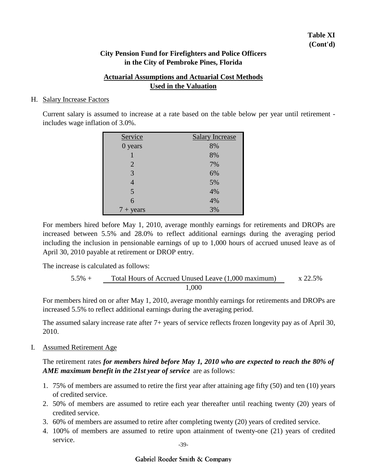# **City Pension Fund for Firefighters and Police Officers in the City of Pembroke Pines, Florida**

# **Actuarial Assumptions and Actuarial Cost Methods Used in the Valuation**

#### H. Salary Increase Factors

Current salary is assumed to increase at a rate based on the table below per year until retirement includes wage inflation of 3.0%.

| Service            | <b>Salary Increase</b> |
|--------------------|------------------------|
| $0$ years          | 8%                     |
|                    | 8%                     |
| $\overline{2}$     | 7%                     |
| 3                  | 6%                     |
| 4                  | 5%                     |
| 5                  | 4%                     |
| 6                  | 4%                     |
| $7 + \text{years}$ | 3%                     |

For members hired before May 1, 2010, average monthly earnings for retirements and DROPs are increased between 5.5% and 28.0% to reflect additional earnings during the averaging period including the inclusion in pensionable earnings of up to 1,000 hours of accrued unused leave as of April 30, 2010 payable at retirement or DROP entry.

The increase is calculated as follows:

$$
5.5\% + \text{Total Hours of Accrued Unused Leave (1,000 maximum)} \times 22.5\%
$$

For members hired on or after May 1, 2010, average monthly earnings for retirements and DROPs are increased 5.5% to reflect additional earnings during the averaging period.

The assumed salary increase rate after 7+ years of service reflects frozen longevity pay as of April 30, 2010.

I. Assumed Retirement Age

The retirement rates *for members hired before May 1, 2010 who are expected to reach the 80% of AME maximum benefit in the 21st year of service* are as follows:

- 1. 75% of members are assumed to retire the first year after attaining age fifty (50) and ten (10) years of credited service.
- 2. 50% of members are assumed to retire each year thereafter until reaching twenty (20) years of credited service.
- 3. 60% of members are assumed to retire after completing twenty (20) years of credited service.
- 4. 100% of members are assumed to retire upon attainment of twenty-one (21) years of credited service.

#### Gabriel Roeder Smith & Company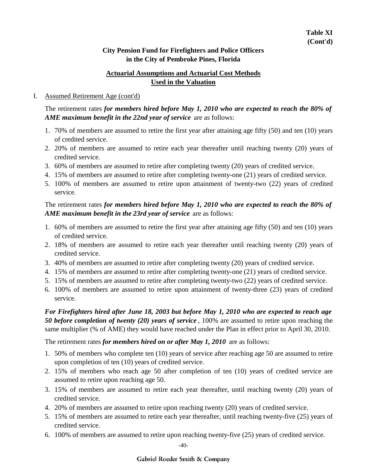## **City Pension Fund for Firefighters and Police Officers in the City of Pembroke Pines, Florida**

## **Actuarial Assumptions and Actuarial Cost Methods Used in the Valuation**

#### I. Assumed Retirement Age (cont'd)

## The retirement rates *for members hired before May 1, 2010 who are expected to reach the 80% of AME maximum benefit in the 22nd year of service* are as follows:

- 1. 70% of members are assumed to retire the first year after attaining age fifty (50) and ten (10) years of credited service.
- 2. 20% of members are assumed to retire each year thereafter until reaching twenty (20) years of credited service.
- 3. 60% of members are assumed to retire after completing twenty (20) years of credited service.
- 4. 15% of members are assumed to retire after completing twenty-one (21) years of credited service.
- 5. 100% of members are assumed to retire upon attainment of twenty-two (22) years of credited service.

# The retirement rates *for members hired before May 1, 2010 who are expected to reach the 80% of AME maximum benefit in the 23rd year of service* are as follows:

- 1. 60% of members are assumed to retire the first year after attaining age fifty (50) and ten (10) years of credited service.
- 2. 18% of members are assumed to retire each year thereafter until reaching twenty (20) years of credited service.
- 3. 40% of members are assumed to retire after completing twenty (20) years of credited service.
- 4. 15% of members are assumed to retire after completing twenty-one (21) years of credited service.
- 5. 15% of members are assumed to retire after completing twenty-two (22) years of credited service.
- 6. 100% of members are assumed to retire upon attainment of twenty-three (23) years of credited service.

*For Firefighters hired after June 18, 2003 but before May 1, 2010 who are expected to reach age 50 before completion of twenty (20) years of service* , 100% are assumed to retire upon reaching the same multiplier (% of AME) they would have reached under the Plan in effect prior to April 30, 2010.

The retirement rates *for members hired on or after May 1, 2010* are as follows:

- 1. 50% of members who complete ten (10) years of service after reaching age 50 are assumed to retire upon completion of ten (10) years of credited service.
- 2. 15% of members who reach age 50 after completion of ten (10) years of credited service are assumed to retire upon reaching age 50.
- 3. 15% of members are assumed to retire each year thereafter, until reaching twenty (20) years of credited service.
- 4. 20% of members are assumed to retire upon reaching twenty (20) years of credited service.
- 5. 15% of members are assumed to retire each year thereafter, until reaching twenty-five (25) years of credited service.
- 6. 100% of members are assumed to retire upon reaching twenty-five (25) years of credited service.

#### Gabriel Roeder Smith & Company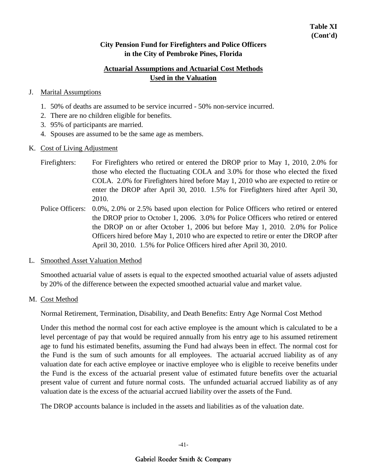# **City Pension Fund for Firefighters and Police Officers in the City of Pembroke Pines, Florida**

# **Actuarial Assumptions and Actuarial Cost Methods Used in the Valuation**

#### J. Marital Assumptions

- 1. 50% of deaths are assumed to be service incurred 50% non-service incurred.
- 2. There are no children eligible for benefits.
- 3. 95% of participants are married.
- 4. Spouses are assumed to be the same age as members.

## K. Cost of Living Adjustment

- Firefighters: For Firefighters who retired or entered the DROP prior to May 1, 2010, 2.0% for those who elected the fluctuating COLA and 3.0% for those who elected the fixed COLA. 2.0% for Firefighters hired before May 1, 2010 who are expected to retire or enter the DROP after April 30, 2010. 1.5% for Firefighters hired after April 30, 2010.
- Police Officers: 0.0%, 2.0% or 2.5% based upon election for Police Officers who retired or entered the DROP prior to October 1, 2006. 3.0% for Police Officers who retired or entered the DROP on or after October 1, 2006 but before May 1, 2010. 2.0% for Police Officers hired before May 1, 2010 who are expected to retire or enter the DROP after April 30, 2010. 1.5% for Police Officers hired after April 30, 2010.

## L. Smoothed Asset Valuation Method

Smoothed actuarial value of assets is equal to the expected smoothed actuarial value of assets adjusted by 20% of the difference between the expected smoothed actuarial value and market value.

## M. Cost Method

Normal Retirement, Termination, Disability, and Death Benefits: Entry Age Normal Cost Method

Under this method the normal cost for each active employee is the amount which is calculated to be a level percentage of pay that would be required annually from his entry age to his assumed retirement age to fund his estimated benefits, assuming the Fund had always been in effect. The normal cost for the Fund is the sum of such amounts for all employees. The actuarial accrued liability as of any valuation date for each active employee or inactive employee who is eligible to receive benefits under the Fund is the excess of the actuarial present value of estimated future benefits over the actuarial present value of current and future normal costs. The unfunded actuarial accrued liability as of any valuation date is the excess of the actuarial accrued liability over the assets of the Fund.

The DROP accounts balance is included in the assets and liabilities as of the valuation date.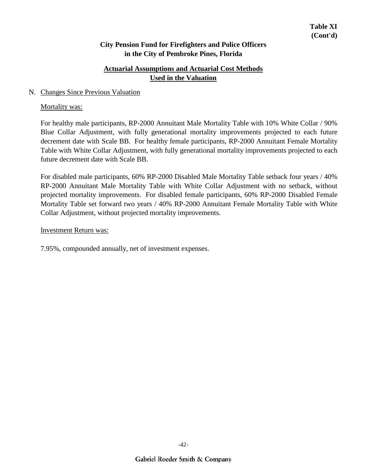# **Actuarial Assumptions and Actuarial Cost Methods Used in the Valuation**

## N. Changes Since Previous Valuation

## Mortality was:

For healthy male participants, RP-2000 Annuitant Male Mortality Table with 10% White Collar / 90% Blue Collar Adjustment, with fully generational mortality improvements projected to each future decrement date with Scale BB. For healthy female participants, RP-2000 Annuitant Female Mortality Table with White Collar Adjustment, with fully generational mortality improvements projected to each future decrement date with Scale BB.

For disabled male participants, 60% RP-2000 Disabled Male Mortality Table setback four years / 40% RP-2000 Annuitant Male Mortality Table with White Collar Adjustment with no setback, without projected mortality improvements. For disabled female participants, 60% RP-2000 Disabled Female Mortality Table set forward two years / 40% RP-2000 Annuitant Female Mortality Table with White Collar Adjustment, without projected mortality improvements.

#### Investment Return was:

7.95%, compounded annually, net of investment expenses.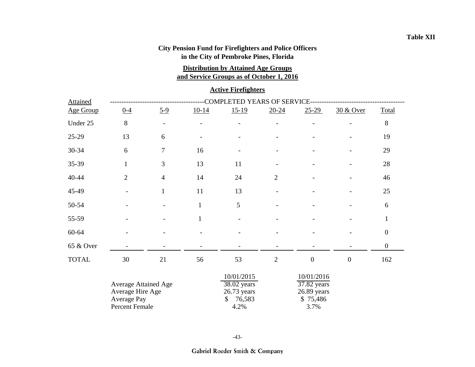# **City Pension Fund for Firefighters and Police Officers**

**in the City of Pembroke Pines, Florida**

# **Distribution by Attained Age Groups**

**and Service Groups as of October 1, 2016**

#### **Active Firefighters**

| <b>Attained</b> |                                                                           |                |              | COMPLETED YEARS OF SERVICE-                                        |                |                                                              |                  |                  |
|-----------------|---------------------------------------------------------------------------|----------------|--------------|--------------------------------------------------------------------|----------------|--------------------------------------------------------------|------------------|------------------|
| Age Group       | $0 - 4$                                                                   | $5 - 9$        | $10-14$      | $15-19$                                                            | $20 - 24$      | $25-29$                                                      | 30 & Over        | Total            |
| Under 25        | 8                                                                         | $\blacksquare$ |              |                                                                    |                |                                                              |                  | 8                |
| 25-29           | 13                                                                        | $6\,$          |              |                                                                    |                |                                                              |                  | 19               |
| 30-34           | 6                                                                         | 7              | 16           |                                                                    |                |                                                              |                  | 29               |
| 35-39           | $\mathbf{1}$                                                              | 3              | 13           | 11                                                                 |                |                                                              |                  | 28               |
| 40-44           | $\overline{2}$                                                            | $\overline{4}$ | 14           | 24                                                                 | $\mathbf{2}$   |                                                              |                  | 46               |
| 45-49           |                                                                           | $\mathbf{1}$   | 11           | 13                                                                 |                |                                                              |                  | 25               |
| 50-54           |                                                                           |                | $\mathbf{1}$ | 5                                                                  |                |                                                              |                  | 6                |
| 55-59           |                                                                           |                | $\mathbf{1}$ |                                                                    |                |                                                              |                  | $\mathbf{1}$     |
| 60-64           |                                                                           |                |              |                                                                    |                |                                                              |                  | $\boldsymbol{0}$ |
| 65 & Over       |                                                                           |                |              |                                                                    |                |                                                              |                  | $\overline{0}$   |
| <b>TOTAL</b>    | 30                                                                        | 21             | 56           | 53                                                                 | $\overline{c}$ | $\boldsymbol{0}$                                             | $\boldsymbol{0}$ | 162              |
|                 | Average Attained Age<br>Average Hire Age<br>Average Pay<br>Percent Female |                |              | 10/01/2015<br>38.02 years<br>$26.73$ years<br>76,583<br>\$<br>4.2% |                | 10/01/2016<br>37.82 years<br>26.89 years<br>\$75,486<br>3.7% |                  |                  |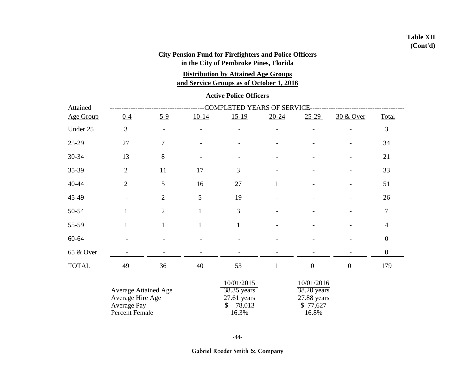# **City Pension Fund for Firefighters and Police Officers**

**in the City of Pembroke Pines, Florida**

**Distribution by Attained Age Groups**

**and Service Groups as of October 1, 2016**

#### **Active Police Officers**

| <b>Attained</b> |                                                                           |                |              | <b>COMPLETED YEARS OF SERVICE</b>                                   |              |                                                               |                  |                  |
|-----------------|---------------------------------------------------------------------------|----------------|--------------|---------------------------------------------------------------------|--------------|---------------------------------------------------------------|------------------|------------------|
| Age Group       | $0 - 4$                                                                   | $5 - 9$        | $10-14$      | $15-19$                                                             | $20 - 24$    | $25-29$                                                       | 30 & Over        | Total            |
| Under 25        | 3                                                                         | $\blacksquare$ |              |                                                                     |              |                                                               |                  | 3                |
| 25-29           | $27\,$                                                                    | 7              |              |                                                                     |              |                                                               |                  | 34               |
| 30-34           | 13                                                                        | 8              |              |                                                                     |              |                                                               |                  | 21               |
| 35-39           | $\overline{2}$                                                            | 11             | 17           | 3                                                                   |              |                                                               |                  | 33               |
| 40-44           | $\overline{2}$                                                            | 5              | 16           | 27                                                                  | $\mathbf{1}$ |                                                               |                  | 51               |
| 45-49           |                                                                           | $\overline{2}$ | 5            | 19                                                                  |              |                                                               |                  | 26               |
| 50-54           | $\mathbf{1}$                                                              | $\overline{2}$ | $\mathbf{1}$ | $\overline{3}$                                                      |              |                                                               |                  | $\boldsymbol{7}$ |
| 55-59           | 1                                                                         | $\mathbf{1}$   | $\mathbf{1}$ | 1                                                                   |              |                                                               |                  | $\overline{4}$   |
| 60-64           |                                                                           |                |              |                                                                     |              |                                                               |                  | $\boldsymbol{0}$ |
| 65 & Over       |                                                                           |                |              |                                                                     |              |                                                               |                  | $\boldsymbol{0}$ |
| <b>TOTAL</b>    | 49                                                                        | 36             | 40           | 53                                                                  | 1            | $\boldsymbol{0}$                                              | $\boldsymbol{0}$ | 179              |
|                 | Average Attained Age<br>Average Hire Age<br>Average Pay<br>Percent Female |                |              | 10/01/2015<br>38.35 years<br>$27.61$ years<br>78,013<br>\$<br>16.3% |              | 10/01/2016<br>38.20 years<br>27.88 years<br>\$77,627<br>16.8% |                  |                  |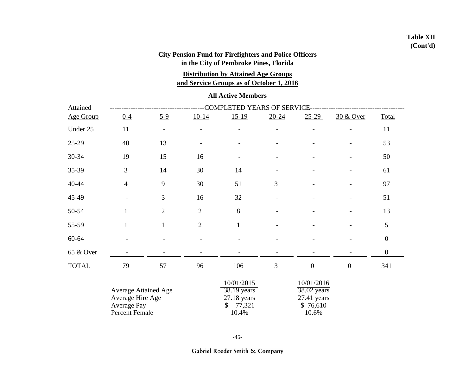# **City Pension Fund for Firefighters and Police Officers**

**in the City of Pembroke Pines, Florida**

**Distribution by Attained Age Groups**

**and Service Groups as of October 1, 2016**

#### **All Active Members**

| <b>Attained</b> |                                                                           |                          |                | <b>COMPLETED YEARS OF SERVICE</b>                                             |           |                                                                 |                  |                  |
|-----------------|---------------------------------------------------------------------------|--------------------------|----------------|-------------------------------------------------------------------------------|-----------|-----------------------------------------------------------------|------------------|------------------|
| Age Group       | $0 - 4$                                                                   | $5 - 9$                  | $10-14$        | $15-19$                                                                       | $20 - 24$ | $25-29$                                                         | 30 & Over        | Total            |
| Under 25        | 11                                                                        | $\overline{\phantom{a}}$ |                |                                                                               |           |                                                                 |                  | 11               |
| 25-29           | 40                                                                        | 13                       |                |                                                                               |           |                                                                 |                  | 53               |
| 30-34           | 19                                                                        | 15                       | 16             |                                                                               |           |                                                                 |                  | 50               |
| 35-39           | 3                                                                         | 14                       | 30             | 14                                                                            |           |                                                                 |                  | 61               |
| $40 - 44$       | $\overline{4}$                                                            | 9                        | 30             | 51                                                                            | 3         |                                                                 |                  | 97               |
| 45-49           |                                                                           | 3                        | 16             | 32                                                                            |           |                                                                 |                  | 51               |
| 50-54           | $\mathbf{1}$                                                              | $\overline{2}$           | $\sqrt{2}$     | 8                                                                             |           |                                                                 |                  | 13               |
| 55-59           | $\mathbf{1}$                                                              | $\mathbf{1}$             | $\overline{2}$ | $\mathbf{1}$                                                                  |           |                                                                 |                  | 5                |
| 60-64           |                                                                           |                          |                |                                                                               |           |                                                                 |                  | $\boldsymbol{0}$ |
| 65 & Over       |                                                                           |                          |                |                                                                               |           |                                                                 |                  | $\boldsymbol{0}$ |
| <b>TOTAL</b>    | 79                                                                        | 57                       | 96             | 106                                                                           | 3         | $\boldsymbol{0}$                                                | $\boldsymbol{0}$ | 341              |
|                 | Average Attained Age<br>Average Hire Age<br>Average Pay<br>Percent Female |                          |                | 10/01/2015<br>38.19 years<br>$27.18$ years<br>77,321<br>$\mathbb{S}$<br>10.4% |           | 10/01/2016<br>38.02 years<br>$27.41$ years<br>\$76,610<br>10.6% |                  |                  |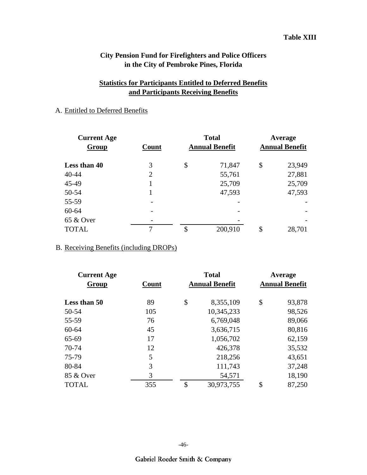#### **Table XIII**

# **City Pension Fund for Firefighters and Police Officers in the City of Pembroke Pines, Florida**

# **Statistics for Participants Entitled to Deferred Benefits and Participants Receiving Benefits**

# A. Entitled to Deferred Benefits

| <b>Current Age</b> |                | <b>Total</b>          | Average               |        |  |
|--------------------|----------------|-----------------------|-----------------------|--------|--|
| <b>Group</b>       | Count          | <b>Annual Benefit</b> | <b>Annual Benefit</b> |        |  |
| Less than 40       | 3              | \$<br>71,847          | \$                    | 23,949 |  |
| 40-44              | $\overline{2}$ | 55,761                |                       | 27,881 |  |
| 45-49              | 1              | 25,709                |                       | 25,709 |  |
| 50-54              |                | 47,593                |                       | 47,593 |  |
| 55-59              |                |                       |                       |        |  |
| $60 - 64$          |                |                       |                       |        |  |
| 65 & Over          |                |                       |                       |        |  |
| <b>TOTAL</b>       |                | \$<br>200,910         | \$                    | 28,701 |  |

# B. Receiving Benefits (including DROPs)

| <b>Current Age</b><br>Group | Count | <b>Total</b><br><b>Annual Benefit</b> | Average<br><b>Annual Benefit</b> |        |  |
|-----------------------------|-------|---------------------------------------|----------------------------------|--------|--|
| Less than 50                | 89    | \$<br>8,355,109                       | \$                               | 93,878 |  |
| 50-54                       | 105   | 10,345,233                            |                                  | 98,526 |  |
| 55-59                       | 76    | 6,769,048                             |                                  | 89,066 |  |
| $60 - 64$                   | 45    | 3,636,715                             |                                  | 80,816 |  |
| 65-69                       | 17    | 1,056,702                             |                                  | 62,159 |  |
| 70-74                       | 12    | 426,378                               |                                  | 35,532 |  |
| 75-79                       | 5     | 218,256                               |                                  | 43,651 |  |
| 80-84                       | 3     | 111,743                               |                                  | 37,248 |  |
| 85 & Over                   | 3     | 54,571                                |                                  | 18,190 |  |
| <b>TOTAL</b>                | 355   | \$<br>30,973,755                      | \$                               | 87,250 |  |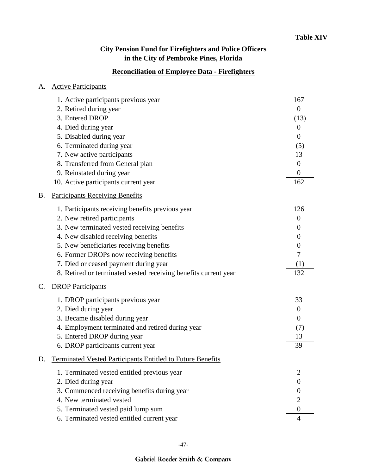# **Reconciliation of Employee Data - Firefighters**

| A.        | <b>Active Participants</b>                                        |                  |
|-----------|-------------------------------------------------------------------|------------------|
|           | 1. Active participants previous year                              | 167              |
|           | 2. Retired during year                                            | $\boldsymbol{0}$ |
|           | 3. Entered DROP                                                   | (13)             |
|           | 4. Died during year                                               | $\overline{0}$   |
|           | 5. Disabled during year                                           | $\theta$         |
|           | 6. Terminated during year                                         | (5)              |
|           | 7. New active participants                                        | 13               |
|           | 8. Transferred from General plan                                  | $\theta$         |
|           | 9. Reinstated during year                                         | $\theta$         |
|           | 10. Active participants current year                              | 162              |
| <b>B.</b> | <b>Participants Receiving Benefits</b>                            |                  |
|           | 1. Participants receiving benefits previous year                  | 126              |
|           | 2. New retired participants                                       | $\theta$         |
|           | 3. New terminated vested receiving benefits                       | $\theta$         |
|           | 4. New disabled receiving benefits                                | $\theta$         |
|           | 5. New beneficiaries receiving benefits                           | $\boldsymbol{0}$ |
|           | 6. Former DROPs now receiving benefits                            | 7                |
|           | 7. Died or ceased payment during year                             | (1)              |
|           | 8. Retired or terminated vested receiving benefits current year   | 132              |
| C.        | <b>DROP Participants</b>                                          |                  |
|           | 1. DROP participants previous year                                | 33               |
|           | 2. Died during year                                               | $\boldsymbol{0}$ |
|           | 3. Became disabled during year                                    | $\theta$         |
|           | 4. Employment terminated and retired during year                  | (7)              |
|           | 5. Entered DROP during year                                       | 13               |
|           | 6. DROP participants current year                                 | 39               |
| D.        | <b>Terminated Vested Participants Entitled to Future Benefits</b> |                  |
|           | 1. Terminated vested entitled previous year                       | $\overline{2}$   |
|           | 2. Died during year                                               | $\boldsymbol{0}$ |
|           | 3. Commenced receiving benefits during year                       | 0                |
|           | 4. New terminated vested                                          | 2                |
|           | 5. Terminated vested paid lump sum                                | $\boldsymbol{0}$ |
|           | 6. Terminated vested entitled current year                        | $\overline{4}$   |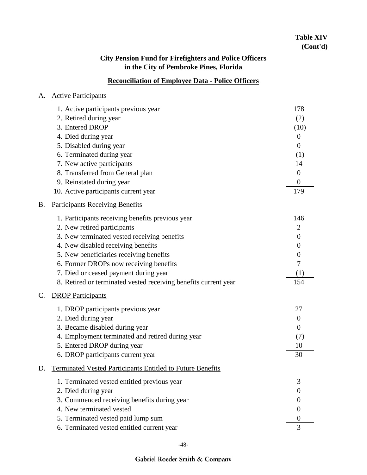# **Reconciliation of Employee Data - Police Officers**

| A. | <b>Active Participants</b> |  |
|----|----------------------------|--|
|    |                            |  |

|    | 1. Active participants previous year                            | 178              |
|----|-----------------------------------------------------------------|------------------|
|    | 2. Retired during year                                          | (2)              |
|    | 3. Entered DROP                                                 | (10)             |
|    | 4. Died during year                                             | $\theta$         |
|    | 5. Disabled during year                                         | $\overline{0}$   |
|    | 6. Terminated during year                                       | (1)              |
|    | 7. New active participants                                      | 14               |
|    | 8. Transferred from General plan                                | $\theta$         |
|    | 9. Reinstated during year                                       | $\overline{0}$   |
|    | 10. Active participants current year                            | 179              |
| B. | <b>Participants Receiving Benefits</b>                          |                  |
|    | 1. Participants receiving benefits previous year                | 146              |
|    | 2. New retired participants                                     | $\overline{2}$   |
|    | 3. New terminated vested receiving benefits                     | $\overline{0}$   |
|    | 4. New disabled receiving benefits                              | $\overline{0}$   |
|    | 5. New beneficiaries receiving benefits                         | $\boldsymbol{0}$ |
|    | 6. Former DROPs now receiving benefits                          | 7                |
|    | 7. Died or ceased payment during year                           | (1)              |
|    | 8. Retired or terminated vested receiving benefits current year | 154              |
| C. | <b>DROP</b> Participants                                        |                  |
|    | 1. DROP participants previous year                              | 27               |
|    | 2. Died during year                                             | $\overline{0}$   |
|    | 3. Became disabled during year                                  | $\overline{0}$   |
|    | 4. Employment terminated and retired during year                | (7)              |
|    | 5. Entered DROP during year                                     | 10               |
|    | 6. DROP participants current year                               | 30               |
| D. | Terminated Vested Participants Entitled to Future Benefits      |                  |
|    | 1. Terminated vested entitled previous year                     | 3                |
|    | 2. Died during year                                             | $_{0}$           |
|    | 3. Commenced receiving benefits during year                     |                  |
|    | 4. New terminated vested                                        |                  |
|    | 5. Terminated vested paid lump sum                              | 0                |
|    | 6. Terminated vested entitled current year                      | 3                |
|    |                                                                 |                  |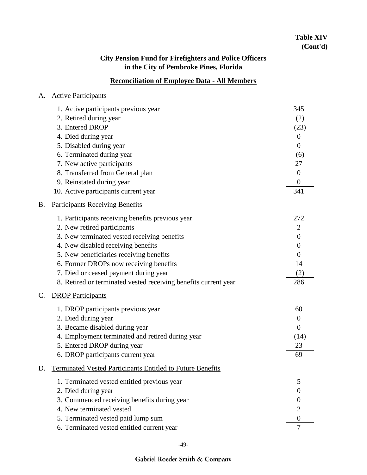# **Reconciliation of Employee Data - All Members**

#### A. Active Participants

|    | 1. Active participants previous year                            | 345            |
|----|-----------------------------------------------------------------|----------------|
|    | 2. Retired during year                                          | (2)            |
|    | 3. Entered DROP                                                 | (23)           |
|    | 4. Died during year                                             | $\overline{0}$ |
|    | 5. Disabled during year                                         | $\overline{0}$ |
|    | 6. Terminated during year                                       | (6)            |
|    | 7. New active participants                                      | 27             |
|    | 8. Transferred from General plan                                | $\theta$       |
|    | 9. Reinstated during year                                       | $\overline{0}$ |
|    | 10. Active participants current year                            | 341            |
| B. | <b>Participants Receiving Benefits</b>                          |                |
|    | 1. Participants receiving benefits previous year                | 272            |
|    | 2. New retired participants                                     | $\overline{2}$ |
|    | 3. New terminated vested receiving benefits                     | $\overline{0}$ |
|    | 4. New disabled receiving benefits                              | $\overline{0}$ |
|    | 5. New beneficiaries receiving benefits                         | $\overline{0}$ |
|    | 6. Former DROPs now receiving benefits                          | 14             |
|    | 7. Died or ceased payment during year                           | (2)            |
|    | 8. Retired or terminated vested receiving benefits current year | 286            |
| C. | <b>DROP</b> Participants                                        |                |
|    | 1. DROP participants previous year                              | 60             |
|    | 2. Died during year                                             | $\overline{0}$ |
|    | 3. Became disabled during year                                  | $\overline{0}$ |
|    | 4. Employment terminated and retired during year                | (14)           |
|    | 5. Entered DROP during year                                     | 23             |
|    | 6. DROP participants current year                               | 69             |
| D. | Terminated Vested Participants Entitled to Future Benefits      |                |
|    | 1. Terminated vested entitled previous year                     | 5              |
|    | 2. Died during year                                             | 0              |
|    | 3. Commenced receiving benefits during year                     |                |
|    | 4. New terminated vested                                        | 2              |
|    | 5. Terminated vested paid lump sum                              | $\theta$       |
|    | 6. Terminated vested entitled current year                      | 7              |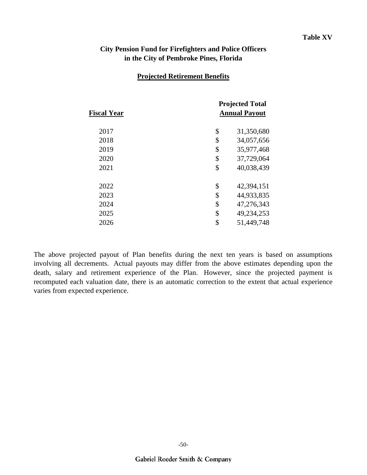#### **Table XV**

## **City Pension Fund for Firefighters and Police Officers in the City of Pembroke Pines, Florida**

#### **Projected Retirement Benefits**

| <b>Fiscal Year</b> | <b>Projected Total</b><br><b>Annual Payout</b> |            |  |  |
|--------------------|------------------------------------------------|------------|--|--|
| 2017               | \$                                             | 31,350,680 |  |  |
| 2018               | \$                                             | 34,057,656 |  |  |
| 2019               | \$                                             | 35,977,468 |  |  |
| 2020               | \$                                             | 37,729,064 |  |  |
| 2021               | \$                                             | 40,038,439 |  |  |
| 2022               | \$                                             | 42,394,151 |  |  |
| 2023               | \$                                             | 44,933,835 |  |  |
| 2024               | \$                                             | 47,276,343 |  |  |
| 2025               | \$                                             | 49,234,253 |  |  |
| 2026               | \$                                             | 51,449,748 |  |  |

The above projected payout of Plan benefits during the next ten years is based on assumptions involving all decrements. Actual payouts may differ from the above estimates depending upon the death, salary and retirement experience of the Plan. However, since the projected payment is recomputed each valuation date, there is an automatic correction to the extent that actual experience varies from expected experience.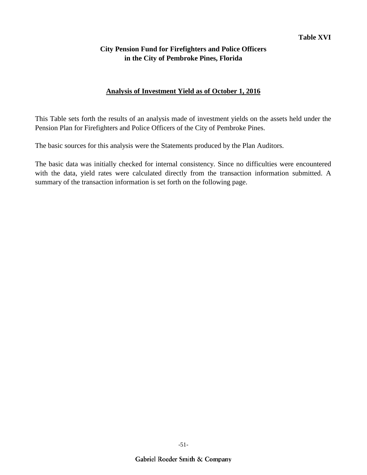## **Analysis of Investment Yield as of October 1, 2016**

This Table sets forth the results of an analysis made of investment yields on the assets held under the Pension Plan for Firefighters and Police Officers of the City of Pembroke Pines.

The basic sources for this analysis were the Statements produced by the Plan Auditors.

The basic data was initially checked for internal consistency. Since no difficulties were encountered with the data, yield rates were calculated directly from the transaction information submitted. A summary of the transaction information is set forth on the following page.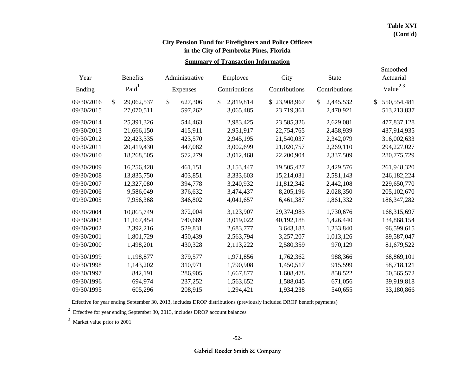#### **in the City of Pembroke Pines, Florida City Pension Fund for Firefighters and Police Officers**

#### **Summary of Transaction Information**

| Year<br>Ending | <b>Benefits</b><br>Paid | Administrative<br>Expenses | Employee<br>Contributions | City<br>Contributions | State<br>Contributions | Smoothed<br>Actuarial<br>Value <sup><math>2,3</math></sup> |
|----------------|-------------------------|----------------------------|---------------------------|-----------------------|------------------------|------------------------------------------------------------|
| 09/30/2016     | \$<br>29,062,537        | \$<br>627,306              | \$<br>2,819,814           | \$23,908,967          | \$<br>2,445,532        | \$<br>550, 554, 481                                        |
| 09/30/2015     | 27,070,511              | 597,262                    | 3,065,485                 | 23,719,361            | 2,470,921              | 513,213,837                                                |
| 09/30/2014     | 25,391,326              | 544,463                    | 2,983,425                 | 23,585,326            | 2,629,081              | 477,837,128                                                |
| 09/30/2013     | 21,666,150              | 415,911                    | 2,951,917                 | 22,754,765            | 2,458,939              | 437,914,935                                                |
| 09/30/2012     | 22,423,335              | 423,570                    | 2,945,195                 | 21,540,037            | 2,342,079              | 316,002,633                                                |
| 09/30/2011     | 20,419,430              | 447,082                    | 3,002,699                 | 21,020,757            | 2,269,110              | 294,227,027                                                |
| 09/30/2010     | 18,268,505              | 572,279                    | 3,012,468                 | 22,200,904            | 2,337,509              | 280,775,729                                                |
| 09/30/2009     | 16,256,428              | 461,151                    | 3,153,447                 | 19,505,427            | 2,429,576              | 261,948,320                                                |
| 09/30/2008     | 13,835,750              | 403,851                    | 3,333,603                 | 15,214,031            | 2,581,143              | 246,182,224                                                |
| 09/30/2007     | 12,327,080              | 394,778                    | 3,240,932                 | 11,812,342            | 2,442,108              | 229,650,770                                                |
| 09/30/2006     | 9,586,049               | 376,632                    | 3,474,437                 | 8,205,196             | 2,028,350              | 205, 102, 670                                              |
| 09/30/2005     | 7,956,368               | 346,802                    | 4,041,657                 | 6,461,387             | 1,861,332              | 186, 347, 282                                              |
| 09/30/2004     | 10,865,749              | 372,004                    | 3,123,907                 | 29,374,983            | 1,730,676              | 168,315,697                                                |
| 09/30/2003     | 11,167,454              | 740,669                    | 3,019,022                 | 40,192,188            | 1,426,440              | 134,868,154                                                |
| 09/30/2002     | 2,392,216               | 529,831                    | 2,683,777                 | 3,643,183             | 1,233,840              | 96,599,615                                                 |
| 09/30/2001     | 1,801,729               | 450,439                    | 2,563,794                 | 3,257,207             | 1,013,126              | 89,587,047                                                 |
| 09/30/2000     | 1,498,201               | 430,328                    | 2,113,222                 | 2,580,359             | 970,129                | 81,679,522                                                 |
| 09/30/1999     | 1,198,877               | 379,577                    | 1,971,856                 | 1,762,362             | 988,366                | 68,869,101                                                 |
| 09/30/1998     | 1,143,202               | 310,971                    | 1,790,908                 | 1,450,517             | 915,599                | 58,718,121                                                 |
| 09/30/1997     | 842,191                 | 286,905                    | 1,667,877                 | 1,608,478             | 858,522                | 50,565,572                                                 |
| 09/30/1996     | 694,974                 | 237,252                    | 1,563,652                 | 1,588,045             | 671,056                | 39,919,818                                                 |
| 09/30/1995     | 605,296                 | 208,915                    | 1,294,421                 | 1,934,238             | 540,655                | 33,180,866                                                 |

 $1$  Effective for year ending September 30, 2013, includes DROP distributions (previously included DROP benefit payments)

 $2$  Effective for year ending September 30, 2013, includes DROP account balances

<sup>3</sup> Market value prior to 2001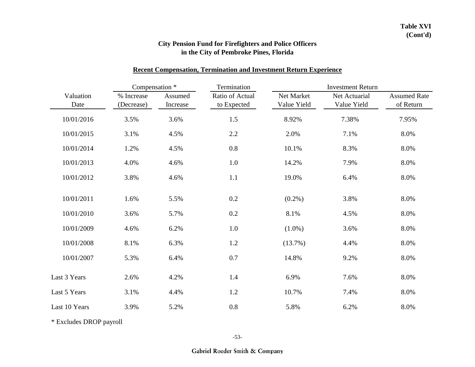#### **Recent Compensation, Termination and Investment Return Experience**

|                   | Compensation <sup>*</sup> |                     | Termination                    |                           | <b>Investment Return</b>     |                                  |  |  |
|-------------------|---------------------------|---------------------|--------------------------------|---------------------------|------------------------------|----------------------------------|--|--|
| Valuation<br>Date | % Increase<br>(Decrease)  | Assumed<br>Increase | Ratio of Actual<br>to Expected | Net Market<br>Value Yield | Net Actuarial<br>Value Yield | <b>Assumed Rate</b><br>of Return |  |  |
| 10/01/2016        | 3.5%                      | 3.6%                | 1.5                            | 8.92%                     | 7.38%                        | 7.95%                            |  |  |
| 10/01/2015        | 3.1%                      | 4.5%                | 2.2                            | 2.0%                      | 7.1%                         | 8.0%                             |  |  |
| 10/01/2014        | 1.2%                      | 4.5%                | $0.8\,$                        | 10.1%                     | 8.3%                         | 8.0%                             |  |  |
| 10/01/2013        | 4.0%                      | 4.6%                | 1.0                            | 14.2%                     | 7.9%                         | 8.0%                             |  |  |
| 10/01/2012        | 3.8%                      | 4.6%                | 1.1                            | 19.0%                     | 6.4%                         | 8.0%                             |  |  |
| 10/01/2011        | 1.6%                      | 5.5%                | 0.2                            | $(0.2\%)$                 | 3.8%                         | 8.0%                             |  |  |
| 10/01/2010        | 3.6%                      | 5.7%                | 0.2                            | 8.1%                      | 4.5%                         | 8.0%                             |  |  |
| 10/01/2009        | 4.6%                      | 6.2%                | 1.0                            | $(1.0\%)$                 | 3.6%                         | 8.0%                             |  |  |
| 10/01/2008        | 8.1%                      | 6.3%                | 1.2                            | $(13.7\%)$                | 4.4%                         | 8.0%                             |  |  |
| 10/01/2007        | 5.3%                      | 6.4%                | 0.7                            | 14.8%                     | 9.2%                         | 8.0%                             |  |  |
| Last 3 Years      | 2.6%                      | 4.2%                | 1.4                            | 6.9%                      | 7.6%                         | 8.0%                             |  |  |
| Last 5 Years      | 3.1%                      | 4.4%                | 1.2                            | 10.7%                     | 7.4%                         | 8.0%                             |  |  |
| Last 10 Years     | 3.9%                      | 5.2%                | $0.8\,$                        | 5.8%                      | 6.2%                         | 8.0%                             |  |  |

\* Excludes DROP payroll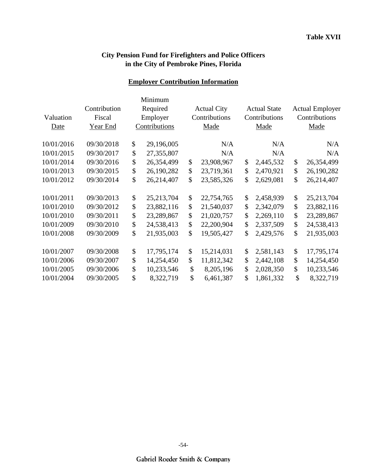# **Employer Contribution Information**

|            |              | Minimum            |               |                    |                     |                        |              |  |
|------------|--------------|--------------------|---------------|--------------------|---------------------|------------------------|--------------|--|
|            | Contribution | Required           |               | <b>Actual City</b> | <b>Actual State</b> | <b>Actual Employer</b> |              |  |
| Valuation  | Fiscal       | Employer           |               | Contributions      | Contributions       | Contributions          |              |  |
| Date       | Year End     | Contributions      |               | Made               | Made                | Made                   |              |  |
| 10/01/2016 | 09/30/2018   | \$<br>29,196,005   |               | N/A                | N/A                 |                        | N/A          |  |
| 10/01/2015 | 09/30/2017   | \$<br>27,355,807   |               | N/A                | N/A                 |                        | N/A          |  |
| 10/01/2014 | 09/30/2016   | \$<br>26,354,499   | \$            | 23,908,967         | \$<br>2,445,532     | \$                     | 26,354,499   |  |
| 10/01/2013 | 09/30/2015   | \$<br>26,190,282   | \$            | 23,719,361         | \$<br>2,470,921     | \$                     | 26,190,282   |  |
| 10/01/2012 | 09/30/2014   | \$<br>26,214,407   | \$            | 23,585,326         | \$<br>2,629,081     | \$                     | 26,214,407   |  |
| 10/01/2011 | 09/30/2013   | \$<br>25, 213, 704 | \$            | 22,754,765         | \$<br>2,458,939     | \$                     | 25, 213, 704 |  |
| 10/01/2010 | 09/30/2012   | \$<br>23,882,116   | \$            | 21,540,037         | \$<br>2,342,079     | \$                     | 23,882,116   |  |
| 10/01/2010 | 09/30/2011   | \$<br>23,289,867   | \$            | 21,020,757         | \$<br>2,269,110     | \$                     | 23,289,867   |  |
| 10/01/2009 | 09/30/2010   | \$<br>24,538,413   | \$            | 22,200,904         | \$<br>2,337,509     | \$                     | 24,538,413   |  |
| 10/01/2008 | 09/30/2009   | \$<br>21,935,003   | \$            | 19,505,427         | \$<br>2,429,576     | \$                     | 21,935,003   |  |
| 10/01/2007 | 09/30/2008   | \$<br>17,795,174   | \$            | 15,214,031         | \$<br>2,581,143     | \$                     | 17,795,174   |  |
| 10/01/2006 | 09/30/2007   | \$<br>14,254,450   | \$            | 11,812,342         | \$<br>2,442,108     | \$                     | 14,254,450   |  |
| 10/01/2005 | 09/30/2006   | \$<br>10,233,546   | \$            | 8,205,196          | \$<br>2,028,350     | \$                     | 10,233,546   |  |
| 10/01/2004 | 09/30/2005   | \$<br>8,322,719    | $\mathcal{S}$ | 6,461,387          | \$<br>1,861,332     | $\mathcal{S}$          | 8,322,719    |  |
|            |              |                    |               |                    |                     |                        |              |  |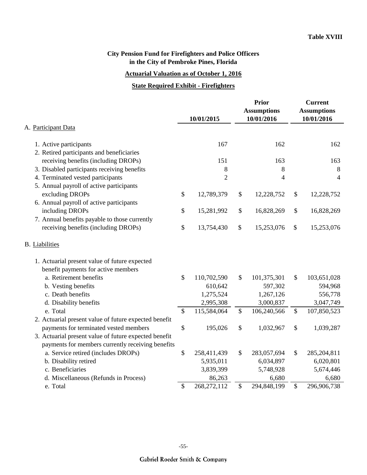# **Actuarial Valuation as of October 1, 2016**

#### **State Required Exhibit - Firefighters**

|                                                       |               | 10/01/2015     | <b>Prior</b><br><b>Assumptions</b><br>10/01/2016 | <b>Current</b><br><b>Assumptions</b><br>10/01/2016 |                |
|-------------------------------------------------------|---------------|----------------|--------------------------------------------------|----------------------------------------------------|----------------|
| A. Participant Data                                   |               |                |                                                  |                                                    |                |
| 1. Active participants                                |               | 167            | 162                                              |                                                    | 162            |
| 2. Retired participants and beneficiaries             |               |                |                                                  |                                                    |                |
| receiving benefits (including DROPs)                  |               | 151            | 163                                              |                                                    | 163            |
| 3. Disabled participants receiving benefits           |               | $8\,$          | 8                                                |                                                    | 8              |
| 4. Terminated vested participants                     |               | $\overline{c}$ | 4                                                |                                                    | $\overline{4}$ |
| 5. Annual payroll of active participants              |               |                |                                                  |                                                    |                |
| excluding DROPs                                       | \$            | 12,789,379     | \$<br>12,228,752                                 | \$                                                 | 12,228,752     |
| 6. Annual payroll of active participants              |               |                |                                                  |                                                    |                |
| including DROPs                                       | \$            | 15,281,992     | \$<br>16,828,269                                 | \$                                                 | 16,828,269     |
| 7. Annual benefits payable to those currently         |               |                |                                                  |                                                    |                |
| receiving benefits (including DROPs)                  | \$            | 13,754,430     | \$<br>15,253,076                                 | \$                                                 | 15,253,076     |
| <b>B.</b> Liabilities                                 |               |                |                                                  |                                                    |                |
| 1. Actuarial present value of future expected         |               |                |                                                  |                                                    |                |
| benefit payments for active members                   |               |                |                                                  |                                                    |                |
| a. Retirement benefits                                | \$            | 110,702,590    | \$<br>101,375,301                                | \$                                                 | 103,651,028    |
| b. Vesting benefits                                   |               | 610,642        | 597,302                                          |                                                    | 594,968        |
| c. Death benefits                                     |               | 1,275,524      | 1,267,126                                        |                                                    | 556,778        |
| d. Disability benefits                                |               | 2,995,308      | 3,000,837                                        |                                                    | 3,047,749      |
| e. Total                                              | \$            | 115,584,064    | \$<br>106,240,566                                | $\mathbb{S}$                                       | 107,850,523    |
| 2. Actuarial present value of future expected benefit |               |                |                                                  |                                                    |                |
| payments for terminated vested members                | \$            | 195,026        | \$<br>1,032,967                                  | \$                                                 | 1,039,287      |
| 3. Actuarial present value of future expected benefit |               |                |                                                  |                                                    |                |
| payments for members currently receiving benefits     |               |                |                                                  |                                                    |                |
| a. Service retired (includes DROPs)                   | \$            | 258,411,439    | \$<br>283,057,694                                | \$                                                 | 285, 204, 811  |
| b. Disability retired                                 |               | 5,935,011      | 6,034,897                                        |                                                    | 6,020,801      |
| c. Beneficiaries                                      |               | 3,839,399      | 5,748,928                                        |                                                    | 5,674,446      |
| d. Miscellaneous (Refunds in Process)                 |               | 86,263         | 6,680                                            |                                                    | 6,680          |
| e. Total                                              | $\mathcal{S}$ | 268, 272, 112  | \$<br>294,848,199                                | \$                                                 | 296,906,738    |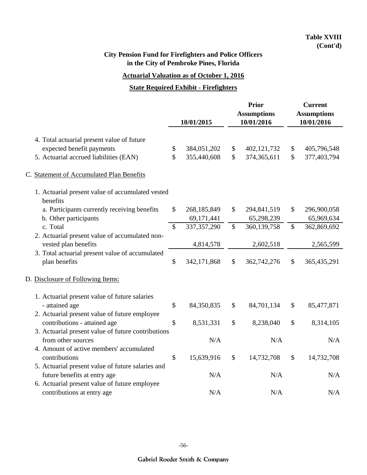# **City Pension Fund for Firefighters and Police Officers in the City of Pembroke Pines, Florida**

# **Actuarial Valuation as of October 1, 2016**

#### **State Required Exhibit - Firefighters**

|                                                                             | 10/01/2015          |               | Prior<br><b>Assumptions</b><br>10/01/2016 | <b>Current</b><br><b>Assumptions</b><br>10/01/2016 |             |  |
|-----------------------------------------------------------------------------|---------------------|---------------|-------------------------------------------|----------------------------------------------------|-------------|--|
| 4. Total actuarial present value of future<br>expected benefit payments     | \$<br>384,051,202   | \$            | 402,121,732                               | \$                                                 | 405,796,548 |  |
| 5. Actuarial accrued liabilities (EAN)                                      | \$<br>355,440,608   | \$            | 374,365,611                               | \$                                                 | 377,403,794 |  |
| C. Statement of Accumulated Plan Benefits                                   |                     |               |                                           |                                                    |             |  |
| 1. Actuarial present value of accumulated vested<br>benefits                |                     |               |                                           |                                                    |             |  |
| a. Participants currently receiving benefits                                | \$<br>268,185,849   | $\mathcal{S}$ | 294,841,519                               | \$                                                 | 296,900,058 |  |
| b. Other participants                                                       | 69,171,441          |               | 65,298,239                                |                                                    | 65,969,634  |  |
| c. Total                                                                    | \$<br>337, 357, 290 | \$            | 360,139,758                               | \$                                                 | 362,869,692 |  |
| 2. Actuarial present value of accumulated non-                              |                     |               |                                           |                                                    |             |  |
| vested plan benefits                                                        | 4,814,578           |               | 2,602,518                                 |                                                    | 2,565,599   |  |
| 3. Total actuarial present value of accumulated<br>plan benefits            | \$<br>342,171,868   | \$            | 362,742,276                               | \$                                                 | 365,435,291 |  |
| D. Disclosure of Following Items:                                           |                     |               |                                           |                                                    |             |  |
| 1. Actuarial present value of future salaries                               |                     |               |                                           |                                                    |             |  |
| - attained age                                                              | \$<br>84,350,835    | \$            | 84,701,134                                | \$                                                 | 85,477,871  |  |
| 2. Actuarial present value of future employee                               |                     |               |                                           |                                                    |             |  |
| contributions - attained age                                                | \$<br>8,531,331     | \$            | 8,238,040                                 | \$                                                 | 8,314,105   |  |
| 3. Actuarial present value of future contributions                          |                     |               |                                           |                                                    |             |  |
| from other sources                                                          | N/A                 |               | N/A                                       |                                                    | N/A         |  |
| 4. Amount of active members' accumulated                                    |                     |               |                                           |                                                    |             |  |
| contributions                                                               | \$<br>15,639,916    | $\mathcal{S}$ | 14,732,708                                | $\boldsymbol{\mathsf{S}}$                          | 14,732,708  |  |
| 5. Actuarial present value of future salaries and                           |                     |               |                                           |                                                    |             |  |
| future benefits at entry age                                                | N/A                 |               | N/A                                       |                                                    | N/A         |  |
| 6. Actuarial present value of future employee<br>contributions at entry age | N/A                 |               | N/A                                       |                                                    | N/A         |  |
|                                                                             |                     |               |                                           |                                                    |             |  |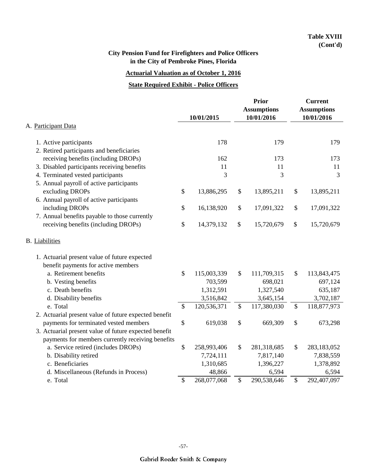#### **Actuarial Valuation as of October 1, 2016**

#### **State Required Exhibit - Police Officers**

|                                                       | 10/01/2015        | <b>Prior</b><br><b>Assumptions</b><br>10/01/2016 | <b>Current</b><br><b>Assumptions</b><br>10/01/2016 |             |
|-------------------------------------------------------|-------------------|--------------------------------------------------|----------------------------------------------------|-------------|
| A. Participant Data                                   |                   |                                                  |                                                    |             |
| 1. Active participants                                | 178               | 179                                              |                                                    | 179         |
| 2. Retired participants and beneficiaries             |                   |                                                  |                                                    |             |
| receiving benefits (including DROPs)                  | 162               | 173                                              |                                                    | 173         |
| 3. Disabled participants receiving benefits           | 11                | 11                                               |                                                    | 11          |
| 4. Terminated vested participants                     | 3                 | 3                                                |                                                    | 3           |
| 5. Annual payroll of active participants              |                   |                                                  |                                                    |             |
| excluding DROPs                                       | \$<br>13,886,295  | \$<br>13,895,211                                 | \$                                                 | 13,895,211  |
| 6. Annual payroll of active participants              |                   |                                                  |                                                    |             |
| including DROPs                                       | \$<br>16,138,920  | \$<br>17,091,322                                 | \$                                                 | 17,091,322  |
| 7. Annual benefits payable to those currently         |                   |                                                  |                                                    |             |
| receiving benefits (including DROPs)                  | \$<br>14,379,132  | \$<br>15,720,679                                 | \$                                                 | 15,720,679  |
| <b>B.</b> Liabilities                                 |                   |                                                  |                                                    |             |
| 1. Actuarial present value of future expected         |                   |                                                  |                                                    |             |
| benefit payments for active members                   |                   |                                                  |                                                    |             |
| a. Retirement benefits                                | \$<br>115,003,339 | \$<br>111,709,315                                | \$                                                 | 113,843,475 |
| b. Vesting benefits                                   | 703,599           | 698,021                                          |                                                    | 697,124     |
| c. Death benefits                                     | 1,312,591         | 1,327,540                                        |                                                    | 635,187     |
| d. Disability benefits                                | 3,516,842         | 3,645,154                                        |                                                    | 3,702,187   |
| e. Total                                              | \$<br>120,536,371 | \$<br>117,380,030                                | \$                                                 | 118,877,973 |
| 2. Actuarial present value of future expected benefit |                   |                                                  |                                                    |             |
| payments for terminated vested members                | \$<br>619,038     | \$<br>669,309                                    | \$                                                 | 673,298     |
| 3. Actuarial present value of future expected benefit |                   |                                                  |                                                    |             |
| payments for members currently receiving benefits     |                   |                                                  |                                                    |             |
| a. Service retired (includes DROPs)                   | \$<br>258,993,406 | \$<br>281,318,685                                | \$                                                 | 283,183,052 |
| b. Disability retired                                 | 7,724,111         | 7,817,140                                        |                                                    | 7,838,559   |
| c. Beneficiaries                                      | 1,310,685         | 1,396,227                                        |                                                    | 1,378,892   |
| d. Miscellaneous (Refunds in Process)                 | 48,866            | 6,594                                            |                                                    | 6,594       |
| e. Total                                              | \$<br>268,077,068 | \$<br>290,538,646                                | \$                                                 | 292,407,097 |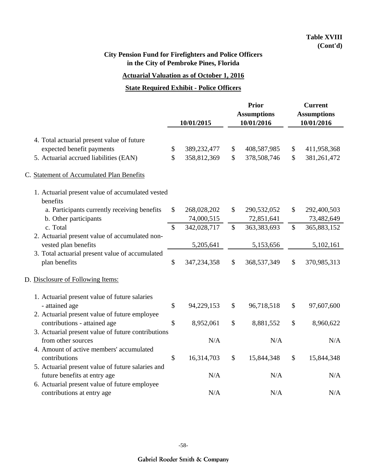# **City Pension Fund for Firefighters and Police Officers in the City of Pembroke Pines, Florida**

# **Actuarial Valuation as of October 1, 2016**

#### **State Required Exhibit - Police Officers**

|                                                                                   |               | 10/01/2015  |               | Prior<br><b>Assumptions</b><br>10/01/2016 |               | <b>Current</b><br><b>Assumptions</b><br>10/01/2016 |
|-----------------------------------------------------------------------------------|---------------|-------------|---------------|-------------------------------------------|---------------|----------------------------------------------------|
| 4. Total actuarial present value of future<br>expected benefit payments           | \$            | 389,232,477 | \$            | 408,587,985                               | \$            | 411,958,368                                        |
| 5. Actuarial accrued liabilities (EAN)                                            | \$            | 358,812,369 | \$            | 378,508,746                               | \$            | 381,261,472                                        |
| C. Statement of Accumulated Plan Benefits                                         |               |             |               |                                           |               |                                                    |
| 1. Actuarial present value of accumulated vested<br>benefits                      |               |             |               |                                           |               |                                                    |
| a. Participants currently receiving benefits                                      | $\mathcal{S}$ | 268,028,202 | $\mathcal{S}$ | 290,532,052                               | \$            | 292,400,503                                        |
| b. Other participants                                                             |               | 74,000,515  |               | 72,851,641                                |               | 73,482,649                                         |
| c. Total                                                                          | \$            | 342,028,717 | \$            | 363,383,693                               | \$            | 365,883,152                                        |
| 2. Actuarial present value of accumulated non-<br>vested plan benefits            |               | 5,205,641   |               | 5,153,656                                 |               | 5,102,161                                          |
| 3. Total actuarial present value of accumulated<br>plan benefits                  | \$            | 347,234,358 | $\mathcal{S}$ | 368,537,349                               | \$            | 370,985,313                                        |
| D. Disclosure of Following Items:                                                 |               |             |               |                                           |               |                                                    |
| 1. Actuarial present value of future salaries                                     |               |             |               |                                           |               |                                                    |
| - attained age                                                                    | \$            | 94,229,153  | \$            | 96,718,518                                | \$            | 97,607,600                                         |
| 2. Actuarial present value of future employee                                     |               |             |               |                                           |               |                                                    |
| contributions - attained age                                                      | \$            | 8,952,061   | \$            | 8,881,552                                 | \$            | 8,960,622                                          |
| 3. Actuarial present value of future contributions                                |               |             |               |                                           |               |                                                    |
| from other sources                                                                |               | N/A         |               | N/A                                       |               | N/A                                                |
| 4. Amount of active members' accumulated                                          |               |             |               |                                           |               |                                                    |
| contributions                                                                     | \$            | 16,314,703  | $\mathbb{S}$  | 15,844,348                                | $\mathcal{S}$ | 15,844,348                                         |
| 5. Actuarial present value of future salaries and<br>future benefits at entry age |               | N/A         |               | N/A                                       |               | N/A                                                |
| 6. Actuarial present value of future employee                                     |               |             |               |                                           |               |                                                    |
| contributions at entry age                                                        |               | N/A         |               | N/A                                       |               | N/A                                                |
|                                                                                   |               |             |               |                                           |               |                                                    |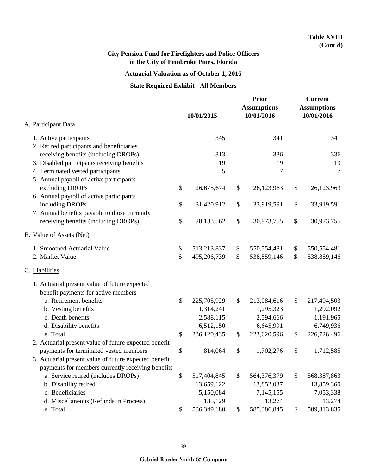## **Actuarial Valuation as of October 1, 2016**

#### **State Required Exhibit - All Members**

| A. Participant Data                                                 | 10/01/2015 |             |    | <b>Prior</b><br><b>Assumptions</b><br>10/01/2016 | <b>Current</b><br><b>Assumptions</b><br>10/01/2016 |             |
|---------------------------------------------------------------------|------------|-------------|----|--------------------------------------------------|----------------------------------------------------|-------------|
|                                                                     |            |             |    |                                                  |                                                    |             |
| 1. Active participants<br>2. Retired participants and beneficiaries |            | 345         |    | 341                                              |                                                    | 341         |
| receiving benefits (including DROPs)                                |            | 313         |    | 336                                              |                                                    | 336         |
| 3. Disabled participants receiving benefits                         |            | 19          |    | 19                                               |                                                    | 19          |
| 4. Terminated vested participants                                   |            | 5           |    | 7                                                |                                                    | 7           |
| 5. Annual payroll of active participants                            |            |             |    |                                                  |                                                    |             |
| excluding DROPs                                                     | \$         | 26,675,674  | \$ | 26,123,963                                       | \$                                                 | 26,123,963  |
| 6. Annual payroll of active participants                            |            |             |    |                                                  |                                                    |             |
| including DROPs                                                     | \$         | 31,420,912  | \$ | 33,919,591                                       | \$                                                 | 33,919,591  |
| 7. Annual benefits payable to those currently                       |            |             |    |                                                  |                                                    |             |
| receiving benefits (including DROPs)                                | \$         | 28,133,562  | \$ | 30,973,755                                       | \$                                                 | 30,973,755  |
| B. Value of Assets (Net)                                            |            |             |    |                                                  |                                                    |             |
| 1. Smoothed Actuarial Value                                         | \$         | 513,213,837 | \$ | 550, 554, 481                                    | \$                                                 | 550,554,481 |
| 2. Market Value                                                     | \$         | 495,206,739 | \$ | 538,859,146                                      | \$                                                 | 538,859,146 |
| C. Liabilities                                                      |            |             |    |                                                  |                                                    |             |
| 1. Actuarial present value of future expected                       |            |             |    |                                                  |                                                    |             |
| benefit payments for active members                                 |            |             |    |                                                  |                                                    |             |
| a. Retirement benefits                                              | \$         | 225,705,929 | \$ | 213,084,616                                      | \$                                                 | 217,494,503 |
| b. Vesting benefits                                                 |            | 1,314,241   |    | 1,295,323                                        |                                                    | 1,292,092   |
| c. Death benefits                                                   |            | 2,588,115   |    | 2,594,666                                        |                                                    | 1,191,965   |
| d. Disability benefits                                              |            | 6,512,150   |    | 6,645,991                                        |                                                    | 6,749,936   |
| e. Total                                                            | \$         | 236,120,435 | \$ | 223,620,596                                      | \$                                                 | 226,728,496 |
| 2. Actuarial present value of future expected benefit               |            |             |    |                                                  |                                                    |             |
| payments for terminated vested members                              | \$         | 814,064     | \$ | 1,702,276                                        | \$                                                 | 1,712,585   |
| 3. Actuarial present value of future expected benefit               |            |             |    |                                                  |                                                    |             |
| payments for members currently receiving benefits                   |            |             |    |                                                  |                                                    |             |
| a. Service retired (includes DROPs)                                 | \$         | 517,404,845 | \$ | 564,376,379                                      | \$                                                 | 568,387,863 |
| b. Disability retired                                               |            | 13,659,122  |    | 13,852,037                                       |                                                    | 13,859,360  |
| c. Beneficiaries                                                    |            | 5,150,084   |    | 7,145,155                                        |                                                    | 7,053,338   |
| d. Miscellaneous (Refunds in Process)                               |            | 135,129     |    | 13,274                                           |                                                    | 13,274      |
| e. Total                                                            | \$         | 536,349,180 | \$ | 585,386,845                                      | \$                                                 | 589,313,835 |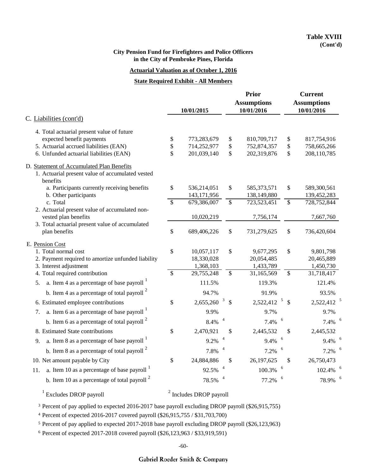#### **Actuarial Valuation as of October 1, 2016**

#### **State Required Exhibit - All Members**

|                                                                                                                                                              |                | 10/01/2015                                | <b>Prior</b><br><b>Assumptions</b><br>10/01/2016 |                                           |                               | <b>Current</b><br><b>Assumptions</b><br>10/01/2016 |  |  |
|--------------------------------------------------------------------------------------------------------------------------------------------------------------|----------------|-------------------------------------------|--------------------------------------------------|-------------------------------------------|-------------------------------|----------------------------------------------------|--|--|
| C. Liabilities (cont'd)                                                                                                                                      |                |                                           |                                                  |                                           |                               |                                                    |  |  |
| 4. Total actuarial present value of future<br>expected benefit payments<br>5. Actuarial accrued liabilities (EAN)<br>6. Unfunded actuarial liabilities (EAN) | \$<br>\$<br>\$ | 773,283,679<br>714,252,977<br>201,039,140 | \$<br>\$<br>\$                                   | 810,709,717<br>752,874,357<br>202,319,876 | \$<br>\$<br>\$                | 817,754,916<br>758,665,266<br>208,110,785          |  |  |
| D. Statement of Accumulated Plan Benefits<br>1. Actuarial present value of accumulated vested<br>benefits                                                    |                |                                           |                                                  |                                           |                               |                                                    |  |  |
| a. Participants currently receiving benefits                                                                                                                 | \$             | 536,214,051                               | \$                                               | 585, 373, 571                             | \$                            | 589,300,561                                        |  |  |
| b. Other participants<br>c. Total                                                                                                                            | \$             | 143,171,956<br>679,386,007                | \$                                               | 138,149,880<br>723,523,451                | \$                            | 139,452,283<br>728,752,844                         |  |  |
| 2. Actuarial present value of accumulated non-<br>vested plan benefits                                                                                       |                | 10,020,219                                |                                                  | 7,756,174                                 |                               | 7,667,760                                          |  |  |
| 3. Total actuarial present value of accumulated<br>plan benefits                                                                                             | \$             | 689,406,226                               | \$                                               | 731,279,625                               | \$                            | 736,420,604                                        |  |  |
| E. Pension Cost<br>1. Total normal cost<br>2. Payment required to amortize unfunded liability<br>3. Interest adjustment                                      | \$             | 10,057,117<br>18,330,028<br>1,368,103     | \$                                               | 9,677,295<br>20,054,485<br>1,433,789      | \$                            | 9,801,798<br>20,465,889<br>1,450,730               |  |  |
| 4. Total required contribution                                                                                                                               | \$             | 29,755,248                                | \$                                               | 31,165,569                                | $\mathbb{S}$                  | 31,718,417                                         |  |  |
| a. Item 4 as a percentage of base payroll<br>5.                                                                                                              |                | 111.5%                                    |                                                  | 119.3%                                    |                               | 121.4%                                             |  |  |
| b. Item 4 as a percentage of total payroll $2$                                                                                                               |                | 94.7%                                     |                                                  | 91.9%                                     |                               | 93.5%                                              |  |  |
| 6. Estimated employee contributions                                                                                                                          | \$             | 2,655,260                                 | $\mathcal{S}$                                    | 2,522,412                                 | $\mathbf{5}$<br>$\mathcal{S}$ | 2,522,412                                          |  |  |
| a. Item 6 as a percentage of base payroll <sup>1</sup><br>7.                                                                                                 |                | 9.9%                                      |                                                  | 9.7%                                      |                               | 9.7%                                               |  |  |
| b. Item 6 as a percentage of total payroll $2$                                                                                                               |                | 8.4%                                      | $\overline{4}$                                   | 7.4%                                      | 6                             | $\ddot{\theta}$<br>7.4%                            |  |  |
| 8. Estimated State contributions                                                                                                                             | \$             | 2,470,921                                 | \$                                               | 2,445,532                                 | \$                            | 2,445,532                                          |  |  |
| a. Item 8 as a percentage of base payroll $\frac{1}{1}$<br>9.                                                                                                |                | 9.2%                                      |                                                  | 9.4%                                      | 6                             | 9.4%                                               |  |  |
| b. Item 8 as a percentage of total payroll $2$                                                                                                               |                | 7.8%                                      | $\overline{4}$                                   | 7.2%                                      | 6                             | 7.2%                                               |  |  |
| 10. Net amount payable by City                                                                                                                               | \$             | 24,884,886                                | \$                                               | 26,197,625                                | \$                            | 26,750,473                                         |  |  |
| a. Item 10 as a percentage of base payroll $\frac{1}{1}$<br>11.                                                                                              |                | 92.5%                                     |                                                  | 100.3%                                    | 6                             | 102.4%                                             |  |  |
| b. Item 10 as a percentage of total payroll $2$                                                                                                              |                | 78.5%                                     |                                                  | 77.2%                                     |                               | 78.9%                                              |  |  |

 $1$  Excludes DROP payroll  $2$ 

 $<sup>2</sup>$  Includes DROP payroll</sup>

<sup>3</sup> Percent of pay applied to expected 2016-2017 base payroll excluding DROP payroll (\$26,915,755)

4 Percent of expected 2016-2017 covered payroll (\$26,915,755 / \$31,703,700)

5 Percent of pay applied to expected 2017-2018 base payroll excluding DROP payroll (\$26,123,963)

<sup>6</sup> Percent of expected 2017-2018 covered payroll (\$26,123,963 / \$33,919,591)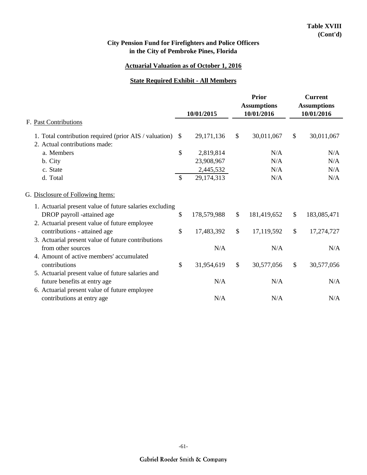#### **Actuarial Valuation as of October 1, 2016**

#### **State Required Exhibit - All Members**

|                                                                                         |                           |              | Prior<br><b>Assumptions</b> | <b>Current</b><br><b>Assumptions</b> |             |  |
|-----------------------------------------------------------------------------------------|---------------------------|--------------|-----------------------------|--------------------------------------|-------------|--|
|                                                                                         |                           | 10/01/2015   | 10/01/2016                  | 10/01/2016                           |             |  |
| F. Past Contributions                                                                   |                           |              |                             |                                      |             |  |
| 1. Total contribution required (prior AIS / valuation)<br>2. Actual contributions made: | $\boldsymbol{\mathsf{S}}$ | 29, 171, 136 | \$<br>30,011,067            | \$                                   | 30,011,067  |  |
| a. Members                                                                              | \$                        | 2,819,814    | N/A                         |                                      | N/A         |  |
| b. City                                                                                 |                           | 23,908,967   | N/A                         |                                      | N/A         |  |
| c. State                                                                                |                           | 2,445,532    | N/A                         |                                      | N/A         |  |
| d. Total                                                                                | \$                        | 29,174,313   | N/A                         |                                      | N/A         |  |
| G. Disclosure of Following Items:                                                       |                           |              |                             |                                      |             |  |
| 1. Actuarial present value of future salaries excluding                                 |                           |              |                             |                                      |             |  |
| DROP payroll -attained age                                                              | \$                        | 178,579,988  | \$<br>181,419,652           | $\boldsymbol{\mathsf{S}}$            | 183,085,471 |  |
| 2. Actuarial present value of future employee                                           |                           |              |                             |                                      |             |  |
| contributions - attained age                                                            | \$                        | 17,483,392   | \$<br>17,119,592            | $\boldsymbol{\mathsf{S}}$            | 17,274,727  |  |
| 3. Actuarial present value of future contributions                                      |                           |              |                             |                                      |             |  |
| from other sources                                                                      |                           | N/A          | N/A                         |                                      | N/A         |  |
| 4. Amount of active members' accumulated                                                |                           |              |                             |                                      |             |  |
| contributions                                                                           | \$                        | 31,954,619   | \$<br>30,577,056            | \$                                   | 30,577,056  |  |
| 5. Actuarial present value of future salaries and                                       |                           |              |                             |                                      |             |  |
| future benefits at entry age                                                            |                           | N/A          | N/A                         |                                      | N/A         |  |
| 6. Actuarial present value of future employee                                           |                           |              |                             |                                      |             |  |
| contributions at entry age                                                              |                           | N/A          | N/A                         |                                      | N/A         |  |